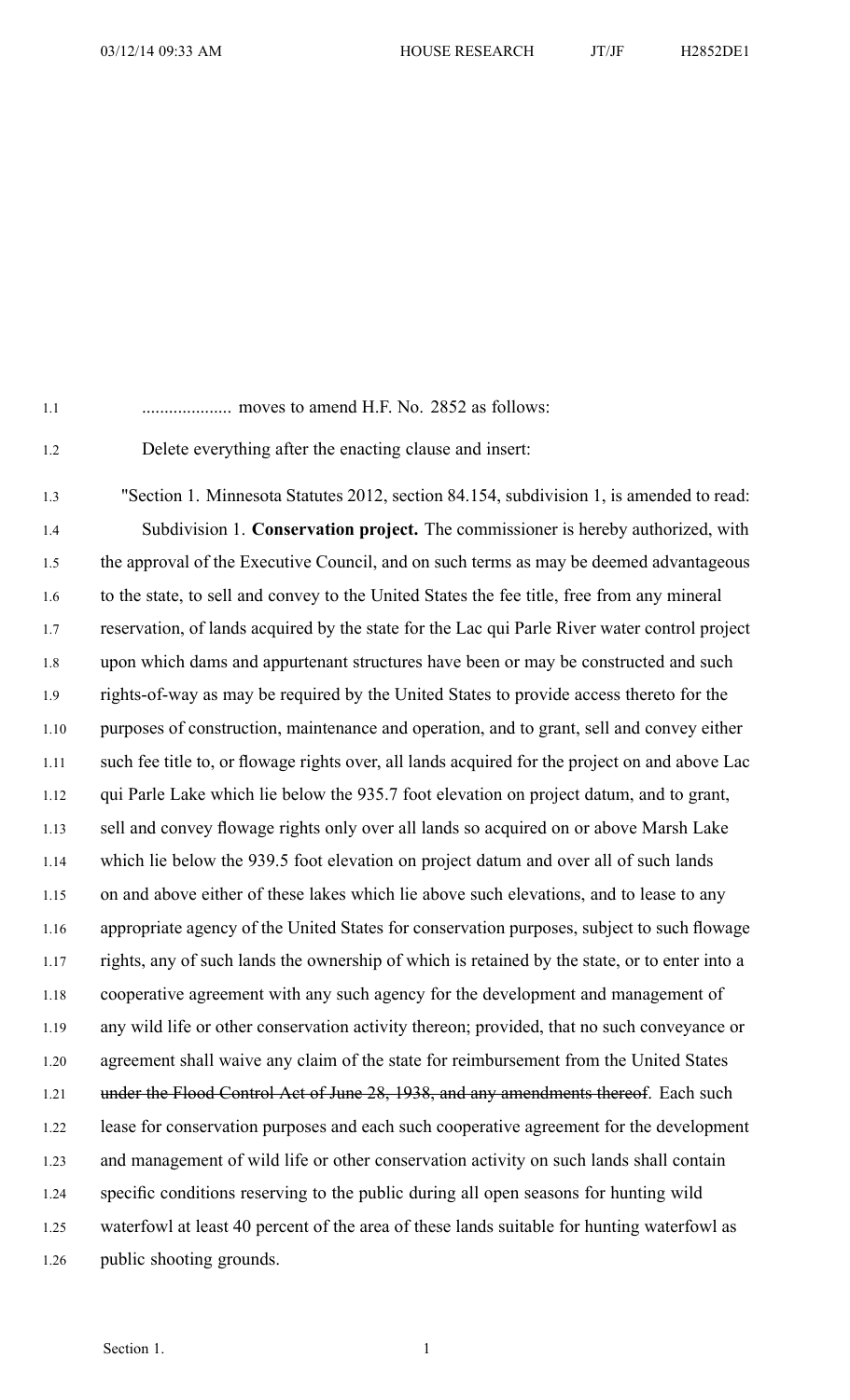1.1 .................... moves to amend H.F. No. 2852 as follows:

1.2 Delete everything after the enacting clause and insert:

1.3 "Section 1. Minnesota Statutes 2012, section 84.154, subdivision 1, is amended to read: 1.4 Subdivision 1. **Conservation project.** The commissioner is hereby authorized, with 1.5 the approval of the Executive Council, and on such terms as may be deemed advantageous 1.6 to the state, to sell and convey to the United States the fee title, free from any mineral 1.7 reservation, of lands acquired by the state for the Lac qui Parle River water control project 1.8 upon which dams and appurtenant structures have been or may be constructed and such 1.9 rights-of-way as may be required by the United States to provide access thereto for the 1.10 purposes of construction, maintenance and operation, and to grant, sell and convey either 1.11 such fee title to, or flowage rights over, all lands acquired for the project on and above Lac 1.12 qui Parle Lake which lie below the 935.7 foot elevation on project datum, and to grant, 1.13 sell and convey flowage rights only over all lands so acquired on or above Marsh Lake 1.14 which lie below the 939.5 foot elevation on project datum and over all of such lands 1.15 on and above either of these lakes which lie above such elevations, and to lease to any 1.16 appropriate agency of the United States for conservation purposes, subject to such flowage 1.17 rights, any of such lands the ownership of which is retained by the state, or to enter into <sup>a</sup> 1.18 cooperative agreemen<sup>t</sup> with any such agency for the development and managemen<sup>t</sup> of 1.19 any wild life or other conservation activity thereon; provided, that no such conveyance or 1.20 agreemen<sup>t</sup> shall waive any claim of the state for reimbursement from the United States 1.21 under the Flood Control Act of June 28, 1938, and any amendments thereof. Each such 1.22 lease for conservation purposes and each such cooperative agreemen<sup>t</sup> for the development 1.23 and managemen<sup>t</sup> of wild life or other conservation activity on such lands shall contain 1.24 specific conditions reserving to the public during all open seasons for hunting wild 1.25 waterfowl at least 40 percen<sup>t</sup> of the area of these lands suitable for hunting waterfowl as 1.26 public shooting grounds.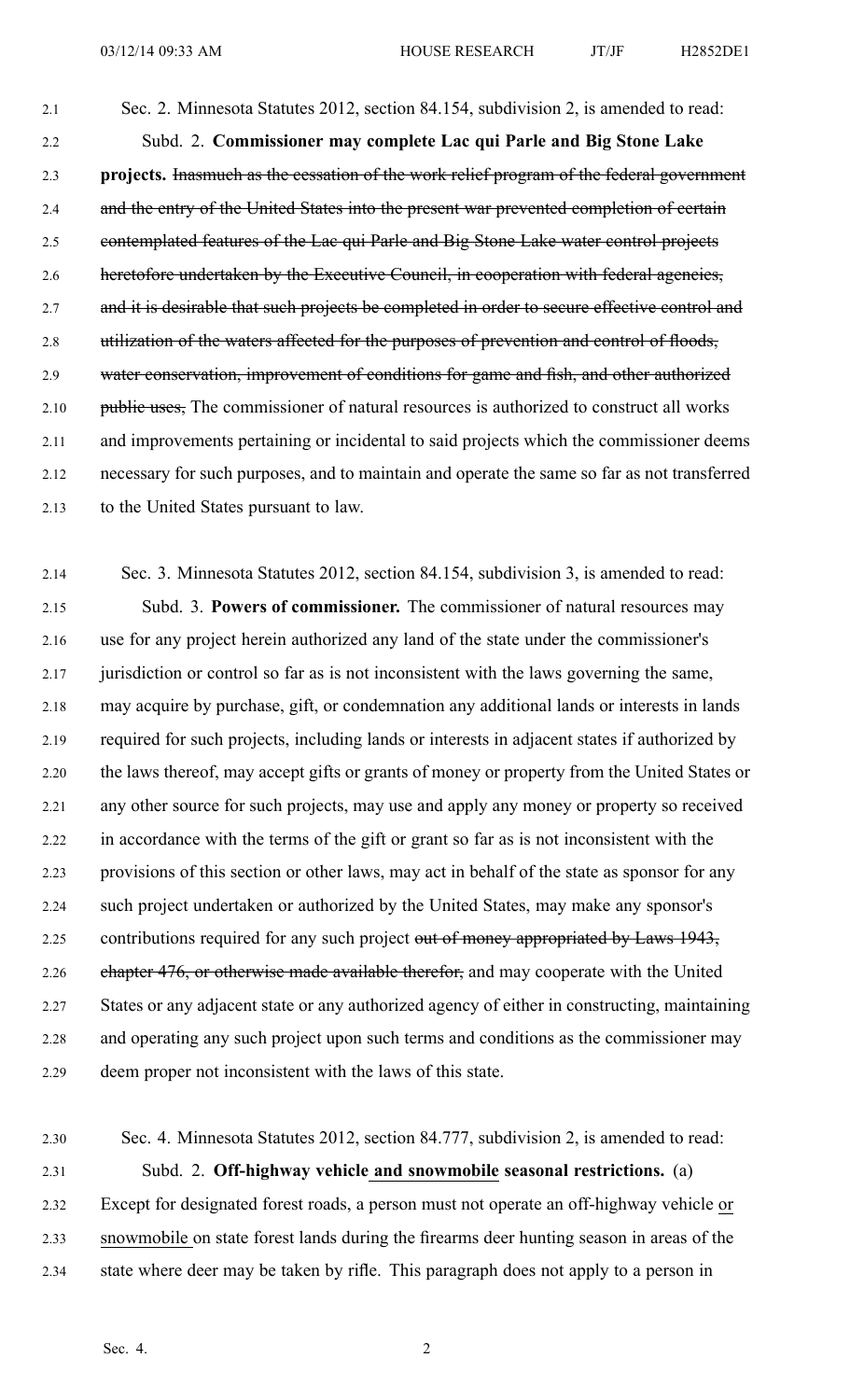2.1 Sec. 2. Minnesota Statutes 2012, section 84.154, subdivision 2, is amended to read: 2.2 Subd. 2. **Commissioner may complete Lac qui Parle and Big Stone Lake** 2.3 **projects.** Inasmuch as the cessation of the work relief program of the federal governmen<sup>t</sup> 2.4 and the entry of the United States into the present war prevented completion of certain 2.5 contemplated features of the Lac qui Parle and Big Stone Lake water control projects 2.6 heretofore undertaken by the Executive Council, in cooperation with federal agencies, 2.7 and it is desirable that such projects be completed in order to secure effective control and 2.8 utilization of the waters affected for the purposes of prevention and control of floods, 2.9 water conservation, improvement of conditions for game and fish, and other authorized 2.10 public uses, The commissioner of natural resources is authorized to construct all works 2.11 and improvements pertaining or incidental to said projects which the commissioner deems 2.12 necessary for such purposes, and to maintain and operate the same so far as not transferred 2.13 to the United States pursuan<sup>t</sup> to law.

2.14 Sec. 3. Minnesota Statutes 2012, section 84.154, subdivision 3, is amended to read: 2.15 Subd. 3. **Powers of commissioner.** The commissioner of natural resources may 2.16 use for any project herein authorized any land of the state under the commissioner's 2.17 jurisdiction or control so far as is not inconsistent with the laws governing the same, 2.18 may acquire by purchase, gift, or condemnation any additional lands or interests in lands 2.19 required for such projects, including lands or interests in adjacent states if authorized by 2.20 the laws thereof, may accep<sup>t</sup> gifts or grants of money or property from the United States or 2.21 any other source for such projects, may use and apply any money or property so received 2.22 in accordance with the terms of the gift or gran<sup>t</sup> so far as is not inconsistent with the 2.23 provisions of this section or other laws, may act in behalf of the state as sponsor for any 2.24 such project undertaken or authorized by the United States, may make any sponsor's 2.25 contributions required for any such project out of money appropriated by Laws 1943, 2.26 chapter 476, or otherwise made available therefor, and may cooperate with the United 2.27 States or any adjacent state or any authorized agency of either in constructing, maintaining 2.28 and operating any such project upon such terms and conditions as the commissioner may 2.29 deem proper not inconsistent with the laws of this state.

2.30 Sec. 4. Minnesota Statutes 2012, section 84.777, subdivision 2, is amended to read: 2.31 Subd. 2. **Off-highway vehicle and snowmobile seasonal restrictions.** (a) 2.32 Except for designated forest roads, <sup>a</sup> person must not operate an off-highway vehicle or 2.33 snowmobile on state forest lands during the firearms deer hunting season in areas of the 2.34 state where deer may be taken by rifle. This paragraph does not apply to <sup>a</sup> person in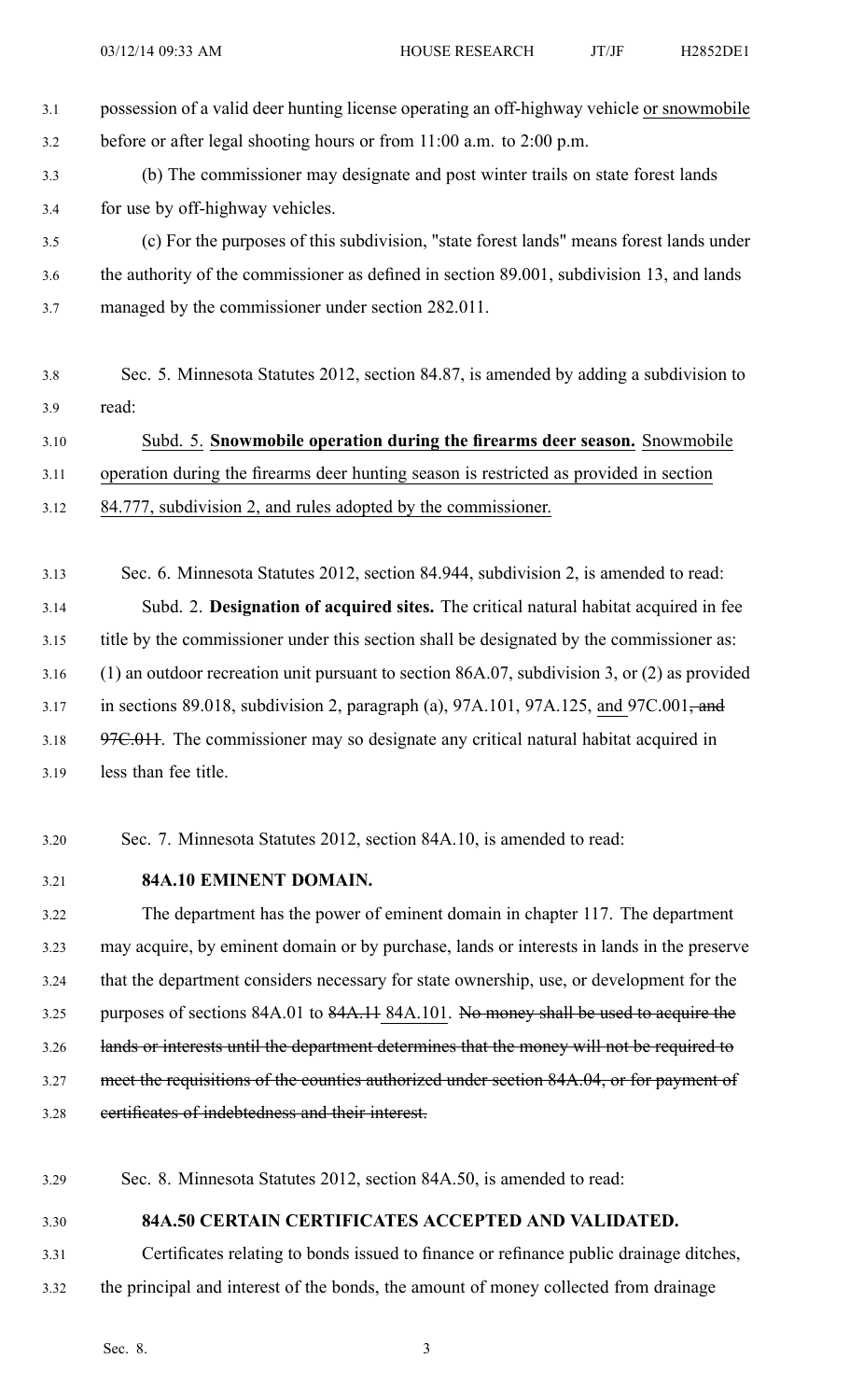- 3.1 possession of <sup>a</sup> valid deer hunting license operating an off-highway vehicle or snowmobile 3.2 before or after legal shooting hours or from 11:00 a.m. to 2:00 p.m.
- 3.3 (b) The commissioner may designate and pos<sup>t</sup> winter trails on state forest lands 3.4 for use by off-highway vehicles.

3.5 (c) For the purposes of this subdivision, "state forest lands" means forest lands under 3.6 the authority of the commissioner as defined in section 89.001, subdivision 13, and lands 3.7 managed by the commissioner under section 282.011.

3.8 Sec. 5. Minnesota Statutes 2012, section 84.87, is amended by adding <sup>a</sup> subdivision to 3.9 read:

3.10 Subd. 5. **Snowmobile operation during the firearms deer season.** Snowmobile 3.11 operation during the firearms deer hunting season is restricted as provided in section

- 3.12 84.777, subdivision 2, and rules adopted by the commissioner.
- 3.13 Sec. 6. Minnesota Statutes 2012, section 84.944, subdivision 2, is amended to read: 3.14 Subd. 2. **Designation of acquired sites.** The critical natural habitat acquired in fee 3.15 title by the commissioner under this section shall be designated by the commissioner as: 3.16 (1) an outdoor recreation unit pursuan<sup>t</sup> to section 86A.07, subdivision 3, or (2) as provided 3.17 in sections 89.018, subdivision 2, paragraph (a), 97A.101, 97A.125, and 97C.001, and 3.18 97C.011. The commissioner may so designate any critical natural habitat acquired in 3.19 less than fee title.
- 3.20 Sec. 7. Minnesota Statutes 2012, section 84A.10, is amended to read:
- 3.21 **84A.10 EMINENT DOMAIN.**

3.22 The department has the power of eminent domain in chapter 117. The department 3.23 may acquire, by eminent domain or by purchase, lands or interests in lands in the preserve 3.24 that the department considers necessary for state ownership, use, or development for the 3.25 purposes of sections 84A.01 to 84A.11 84A.101. No money shall be used to acquire the 3.26 lands or interests until the department determines that the money will not be required to 3.27 meet the requisitions of the counties authorized under section 84A.04, or for payment of 3.28 certificates of indebtedness and their interest.

- 3.29 Sec. 8. Minnesota Statutes 2012, section 84A.50, is amended to read:
- 

3.30 **84A.50 CERTAIN CERTIFICATES ACCEPTED AND VALIDATED.**

3.31 Certificates relating to bonds issued to finance or refinance public drainage ditches, 3.32 the principal and interest of the bonds, the amount of money collected from drainage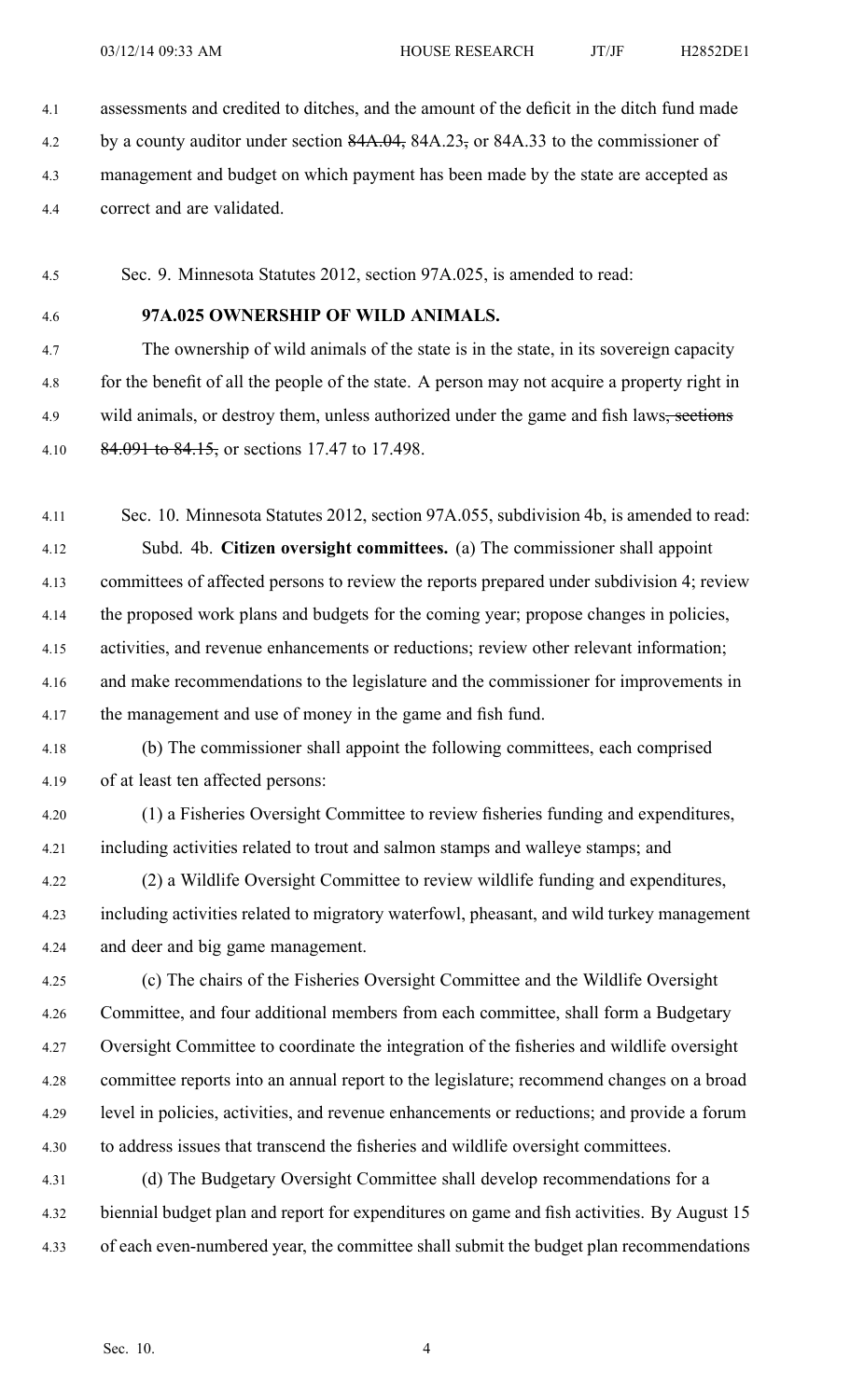4.1 assessments and credited to ditches, and the amount of the deficit in the ditch fund made

- 4.2 by a county auditor under section 84A.04, 84A.23, or 84A.33 to the commissioner of
- 4.3 managemen<sup>t</sup> and budget on which paymen<sup>t</sup> has been made by the state are accepted as
- 4.4 correct and are validated.

4.5 Sec. 9. Minnesota Statutes 2012, section 97A.025, is amended to read:

## 4.6 **97A.025 OWNERSHIP OF WILD ANIMALS.**

4.7 The ownership of wild animals of the state is in the state, in its sovereign capacity 4.8 for the benefit of all the people of the state. A person may not acquire <sup>a</sup> property right in 4.9 wild animals, or destroy them, unless authorized under the game and fish laws<del>, sections</del> 4.10 84.091 to 84.15, or sections 17.47 to 17.498.

4.11 Sec. 10. Minnesota Statutes 2012, section 97A.055, subdivision 4b, is amended to read: 4.12 Subd. 4b. **Citizen oversight committees.** (a) The commissioner shall appoint 4.13 committees of affected persons to review the reports prepared under subdivision 4; review 4.14 the proposed work plans and budgets for the coming year; propose changes in policies, 4.15 activities, and revenue enhancements or reductions; review other relevant information; 4.16 and make recommendations to the legislature and the commissioner for improvements in 4.17 the managemen<sup>t</sup> and use of money in the game and fish fund.

4.18 (b) The commissioner shall appoint the following committees, each comprised 4.19 of at least ten affected persons:

- 4.20 (1) <sup>a</sup> Fisheries Oversight Committee to review fisheries funding and expenditures, 4.21 including activities related to trout and salmon stamps and walleye stamps; and
- 4.22 (2) <sup>a</sup> Wildlife Oversight Committee to review wildlife funding and expenditures, 4.23 including activities related to migratory waterfowl, pheasant, and wild turkey managemen<sup>t</sup> 4.24 and deer and big game management.

4.25 (c) The chairs of the Fisheries Oversight Committee and the Wildlife Oversight 4.26 Committee, and four additional members from each committee, shall form <sup>a</sup> Budgetary 4.27 Oversight Committee to coordinate the integration of the fisheries and wildlife oversight 4.28 committee reports into an annual repor<sup>t</sup> to the legislature; recommend changes on <sup>a</sup> broad 4.29 level in policies, activities, and revenue enhancements or reductions; and provide <sup>a</sup> forum 4.30 to address issues that transcend the fisheries and wildlife oversight committees.

4.31 (d) The Budgetary Oversight Committee shall develop recommendations for <sup>a</sup> 4.32 biennial budget plan and repor<sup>t</sup> for expenditures on game and fish activities. By August 15 4.33 of each even-numbered year, the committee shall submit the budget plan recommendations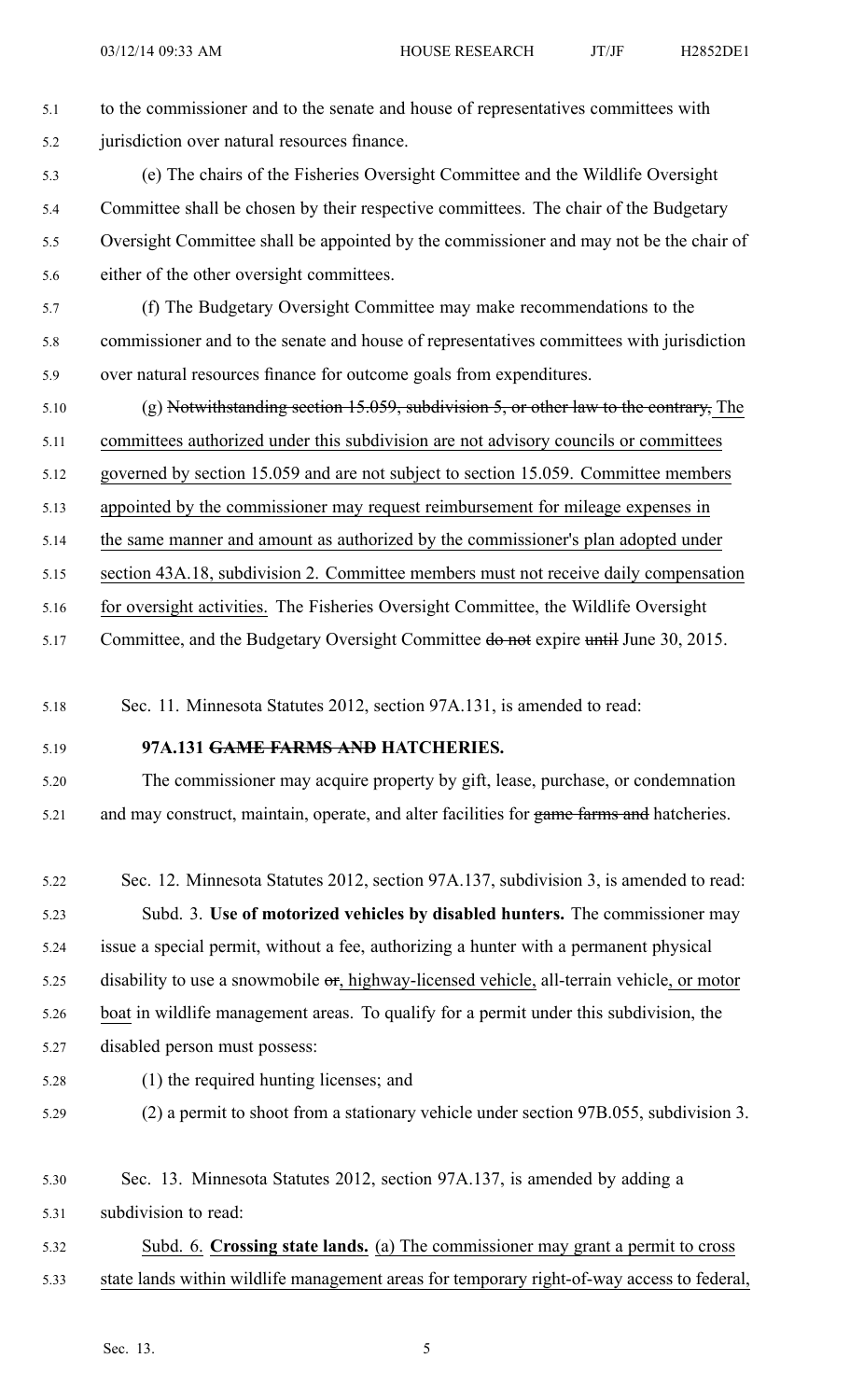5.1 to the commissioner and to the senate and house of representatives committees with 5.2 jurisdiction over natural resources finance.

- 5.3 (e) The chairs of the Fisheries Oversight Committee and the Wildlife Oversight 5.4 Committee shall be chosen by their respective committees. The chair of the Budgetary 5.5 Oversight Committee shall be appointed by the commissioner and may not be the chair of 5.6 either of the other oversight committees.
- 5.7 (f) The Budgetary Oversight Committee may make recommendations to the 5.8 commissioner and to the senate and house of representatives committees with jurisdiction 5.9 over natural resources finance for outcome goals from expenditures.
- 5.10 (g) Notwithstanding section 15.059, subdivision 5, or other law to the contrary, The
- 5.11 committees authorized under this subdivision are not advisory councils or committees
- 5.12 governed by section 15.059 and are not subject to section 15.059. Committee members
- 5.13 appointed by the commissioner may reques<sup>t</sup> reimbursement for mileage expenses in
- 5.14 the same manner and amount as authorized by the commissioner's plan adopted under
- 5.15 section 43A.18, subdivision 2. Committee members must not receive daily compensation
- 5.16 for oversight activities. The Fisheries Oversight Committee, the Wildlife Oversight
- 5.17 Committee, and the Budgetary Oversight Committee do not expire until June 30, 2015.
- 5.18 Sec. 11. Minnesota Statutes 2012, section 97A.131, is amended to read:
- 

## 5.19 **97A.131 GAME FARMS AND HATCHERIES.**

- 5.20 The commissioner may acquire property by gift, lease, purchase, or condemnation 5.21 and may construct, maintain, operate, and alter facilities for game farms and hatcheries.
- 5.22 Sec. 12. Minnesota Statutes 2012, section 97A.137, subdivision 3, is amended to read: 5.23 Subd. 3. **Use of motorized vehicles by disabled hunters.** The commissioner may 5.24 issue <sup>a</sup> special permit, without <sup>a</sup> fee, authorizing <sup>a</sup> hunter with <sup>a</sup> permanen<sup>t</sup> physical 5.25 disability to use <sup>a</sup> snowmobile or, highway-licensed vehicle, all-terrain vehicle, or motor 5.26 boat in wildlife managemen<sup>t</sup> areas. To qualify for <sup>a</sup> permit under this subdivision, the 5.27 disabled person must possess: 5.28 (1) the required hunting licenses; and
- 

- 5.29 (2) <sup>a</sup> permit to shoot from <sup>a</sup> stationary vehicle under section 97B.055, subdivision 3.
- 5.30 Sec. 13. Minnesota Statutes 2012, section 97A.137, is amended by adding <sup>a</sup>

5.31 subdivision to read:

5.32 Subd. 6. **Crossing state lands.** (a) The commissioner may gran<sup>t</sup> <sup>a</sup> permit to cross 5.33 state lands within wildlife managemen<sup>t</sup> areas for temporary right-of-way access to federal,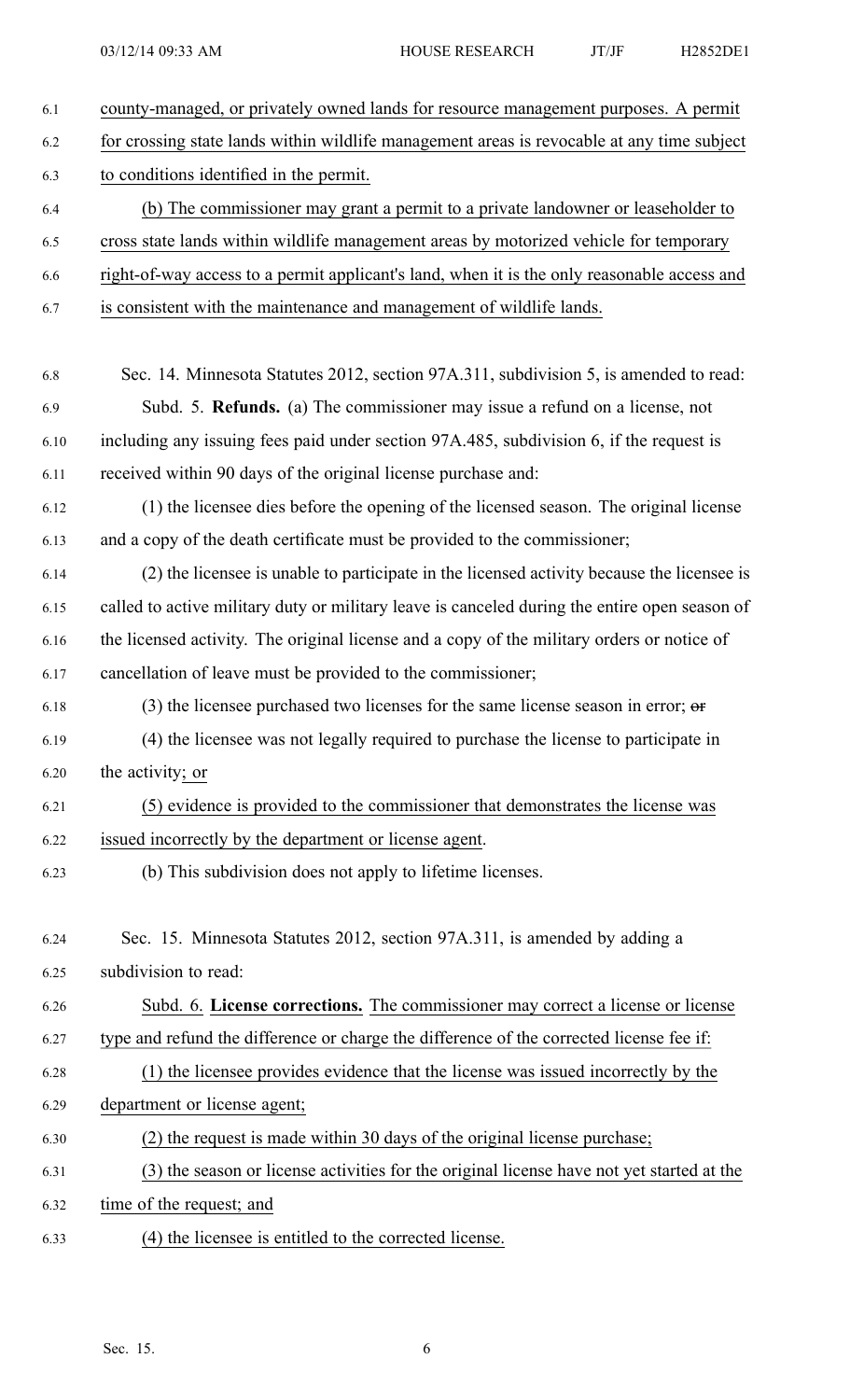| 6.1  | county-managed, or privately owned lands for resource management purposes. A permit           |
|------|-----------------------------------------------------------------------------------------------|
| 6.2  | for crossing state lands within wildlife management areas is revocable at any time subject    |
| 6.3  | to conditions identified in the permit.                                                       |
| 6.4  | (b) The commissioner may grant a permit to a private landowner or leaseholder to              |
| 6.5  | cross state lands within wildlife management areas by motorized vehicle for temporary         |
| 6.6  | right-of-way access to a permit applicant's land, when it is the only reasonable access and   |
| 6.7  | is consistent with the maintenance and management of wildlife lands.                          |
| 6.8  | Sec. 14. Minnesota Statutes 2012, section 97A.311, subdivision 5, is amended to read:         |
| 6.9  | Subd. 5. Refunds. (a) The commissioner may issue a refund on a license, not                   |
| 6.10 | including any issuing fees paid under section 97A.485, subdivision 6, if the request is       |
| 6.11 | received within 90 days of the original license purchase and:                                 |
| 6.12 | (1) the licensee dies before the opening of the licensed season. The original license         |
| 6.13 | and a copy of the death certificate must be provided to the commissioner;                     |
| 6.14 | (2) the licensee is unable to participate in the licensed activity because the licensee is    |
| 6.15 | called to active military duty or military leave is canceled during the entire open season of |
| 6.16 | the licensed activity. The original license and a copy of the military orders or notice of    |
| 6.17 | cancellation of leave must be provided to the commissioner;                                   |
| 6.18 | (3) the licensee purchased two licenses for the same license season in error; $\sigma$        |
| 6.19 | (4) the licensee was not legally required to purchase the license to participate in           |
| 6.20 | the activity; or                                                                              |
| 6.21 | (5) evidence is provided to the commissioner that demonstrates the license was                |
| 6.22 | issued incorrectly by the department or license agent.                                        |
| 6.23 | (b) This subdivision does not apply to lifetime licenses.                                     |
| 6.24 | Sec. 15. Minnesota Statutes 2012, section 97A.311, is amended by adding a                     |
| 6.25 | subdivision to read:                                                                          |
| 6.26 | Subd. 6. License corrections. The commissioner may correct a license or license               |
| 6.27 | type and refund the difference or charge the difference of the corrected license fee if:      |
| 6.28 | (1) the licensee provides evidence that the license was issued incorrectly by the             |
| 6.29 | department or license agent;                                                                  |
| 6.30 | (2) the request is made within 30 days of the original license purchase;                      |
| 6.31 | (3) the season or license activities for the original license have not yet started at the     |
| 6.32 | time of the request; and                                                                      |
| 6.33 | (4) the licensee is entitled to the corrected license.                                        |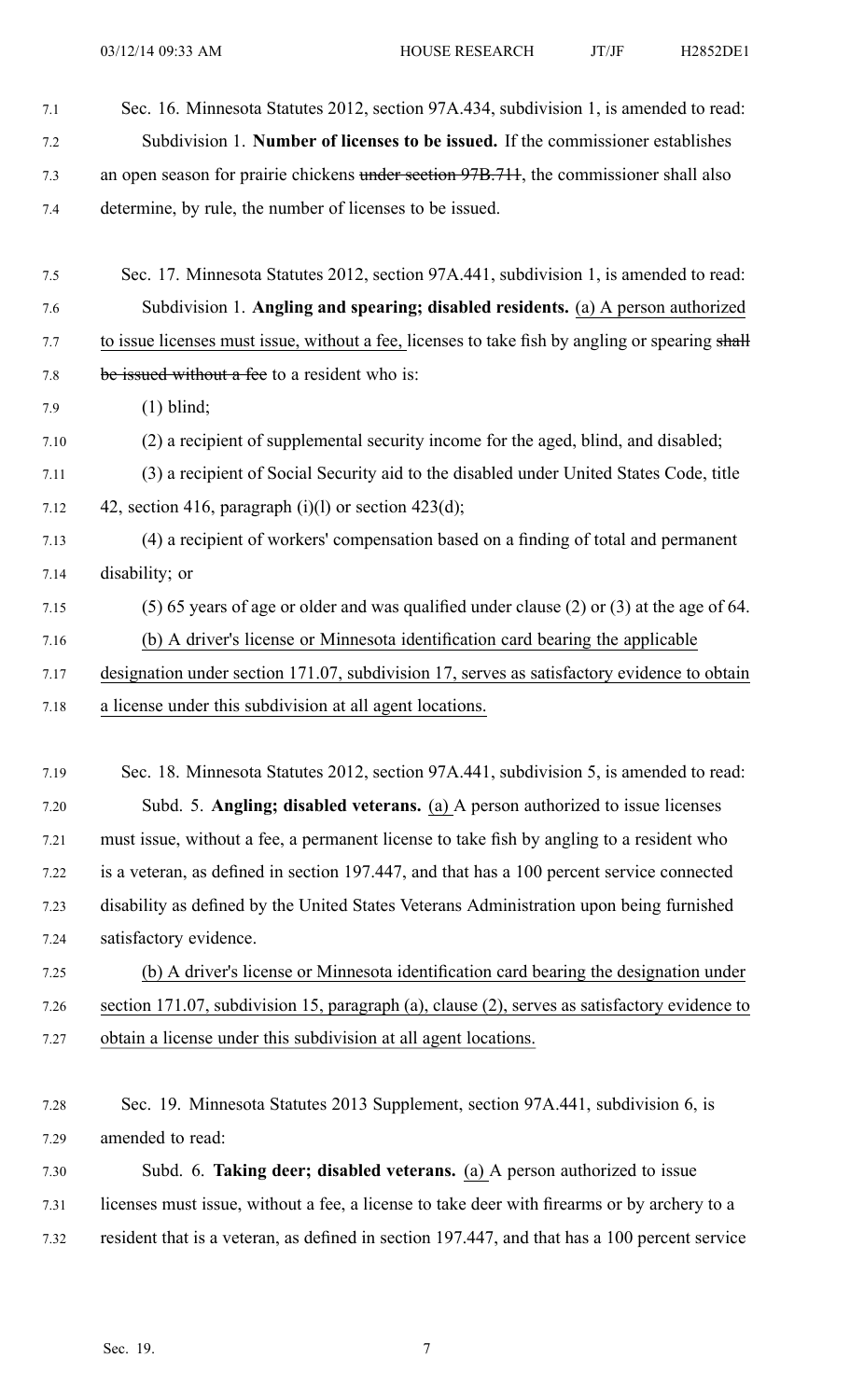7.1 Sec. 16. Minnesota Statutes 2012, section 97A.434, subdivision 1, is amended to read: 7.2 Subdivision 1. **Number of licenses to be issued.** If the commissioner establishes 7.3 an open season for prairie chickens under section 97B.711, the commissioner shall also 7.4 determine, by rule, the number of licenses to be issued. 7.5 Sec. 17. Minnesota Statutes 2012, section 97A.441, subdivision 1, is amended to read: 7.6 Subdivision 1. **Angling and spearing; disabled residents.** (a) A person authorized 7.7 to issue licenses must issue, without a fee, licenses to take fish by angling or spearing shall 7.8 be issued without <sup>a</sup> fee to <sup>a</sup> resident who is: 7.9 (1) blind; 7.10 (2) <sup>a</sup> recipient of supplemental security income for the aged, blind, and disabled; 7.11 (3) <sup>a</sup> recipient of Social Security aid to the disabled under United States Code, title 7.12  $\qquad$  42, section 416, paragraph (i)(1) or section 423(d); 7.13 (4) <sup>a</sup> recipient of workers' compensation based on <sup>a</sup> finding of total and permanen<sup>t</sup> 7.14 disability; or 7.15 (5) 65 years of age or older and was qualified under clause (2) or (3) at the age of 64. 7.16 (b) A driver's license or Minnesota identification card bearing the applicable 7.17 designation under section 171.07, subdivision 17, serves as satisfactory evidence to obtain 7.18 <sup>a</sup> license under this subdivision at all agen<sup>t</sup> locations. 7.19 Sec. 18. Minnesota Statutes 2012, section 97A.441, subdivision 5, is amended to read: 7.20 Subd. 5. **Angling; disabled veterans.** (a) A person authorized to issue licenses 7.21 must issue, without <sup>a</sup> fee, <sup>a</sup> permanen<sup>t</sup> license to take fish by angling to <sup>a</sup> resident who 7.22 is <sup>a</sup> veteran, as defined in section 197.447, and that has <sup>a</sup> 100 percen<sup>t</sup> service connected 7.23 disability as defined by the United States Veterans Administration upon being furnished 7.24 satisfactory evidence. 7.25 (b) A driver's license or Minnesota identification card bearing the designation under 7.26 section 171.07, subdivision 15, paragraph (a), clause (2), serves as satisfactory evidence to 7.27 obtain <sup>a</sup> license under this subdivision at all agen<sup>t</sup> locations. 7.28 Sec. 19. Minnesota Statutes 2013 Supplement, section 97A.441, subdivision 6, is 7.29 amended to read: 7.30 Subd. 6. **Taking deer; disabled veterans.** (a) A person authorized to issue 7.31 licenses must issue, without <sup>a</sup> fee, <sup>a</sup> license to take deer with firearms or by archery to <sup>a</sup> 7.32 resident that is <sup>a</sup> veteran, as defined in section 197.447, and that has <sup>a</sup> 100 percen<sup>t</sup> service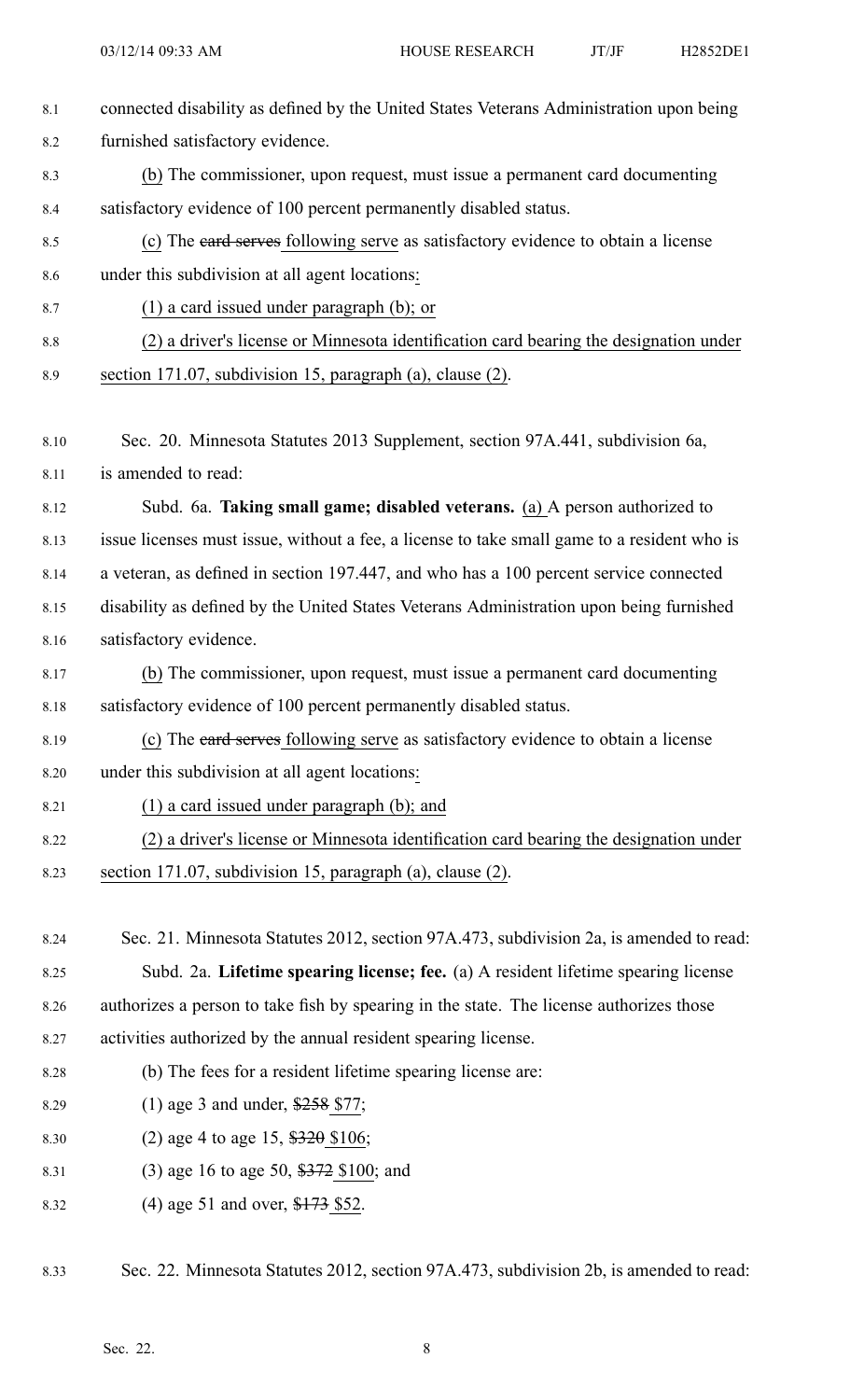| 8.1     | connected disability as defined by the United States Veterans Administration upon being     |
|---------|---------------------------------------------------------------------------------------------|
| 8.2     | furnished satisfactory evidence.                                                            |
| 8.3     | (b) The commissioner, upon request, must issue a permanent card documenting                 |
| 8.4     | satisfactory evidence of 100 percent permanently disabled status.                           |
| 8.5     | (c) The eard serves following serve as satisfactory evidence to obtain a license            |
| 8.6     | under this subdivision at all agent locations:                                              |
| 8.7     | $(1)$ a card issued under paragraph $(b)$ ; or                                              |
| $8.8\,$ | (2) a driver's license or Minnesota identification card bearing the designation under       |
| 8.9     | section 171.07, subdivision 15, paragraph (a), clause (2).                                  |
|         |                                                                                             |
| 8.10    | Sec. 20. Minnesota Statutes 2013 Supplement, section 97A.441, subdivision 6a,               |
| 8.11    | is amended to read:                                                                         |
| 8.12    | Subd. 6a. Taking small game; disabled veterans. (a) A person authorized to                  |
| 8.13    | issue licenses must issue, without a fee, a license to take small game to a resident who is |
| 8.14    | a veteran, as defined in section 197.447, and who has a 100 percent service connected       |
| 8.15    | disability as defined by the United States Veterans Administration upon being furnished     |
| 8.16    | satisfactory evidence.                                                                      |
| 8.17    | (b) The commissioner, upon request, must issue a permanent card documenting                 |
| 8.18    | satisfactory evidence of 100 percent permanently disabled status.                           |
| 8.19    | (c) The eard serves following serve as satisfactory evidence to obtain a license            |
| 8.20    | under this subdivision at all agent locations:                                              |
| 8.21    | $(1)$ a card issued under paragraph $(b)$ ; and                                             |
| 8.22    | (2) a driver's license or Minnesota identification card bearing the designation under       |
| 8.23    | section 171.07, subdivision 15, paragraph (a), clause (2).                                  |
|         |                                                                                             |
| 8.24    | Sec. 21. Minnesota Statutes 2012, section 97A.473, subdivision 2a, is amended to read:      |
| 8.25    | Subd. 2a. Lifetime spearing license; fee. (a) A resident lifetime spearing license          |
| 8.26    | authorizes a person to take fish by spearing in the state. The license authorizes those     |
| 8.27    | activities authorized by the annual resident spearing license.                              |
| 8.28    | (b) The fees for a resident lifetime spearing license are:                                  |
| 8.29    | (1) age 3 and under, $$258$ \$77;                                                           |
| 8.30    | (2) age 4 to age 15, $$320$ \$106;                                                          |

- 8.31 (3) age 16 to age 50, \$372 \$100; and
- 8.32 (4) age 51 and over, \$173 \$52.

8.33 Sec. 22. Minnesota Statutes 2012, section 97A.473, subdivision 2b, is amended to read: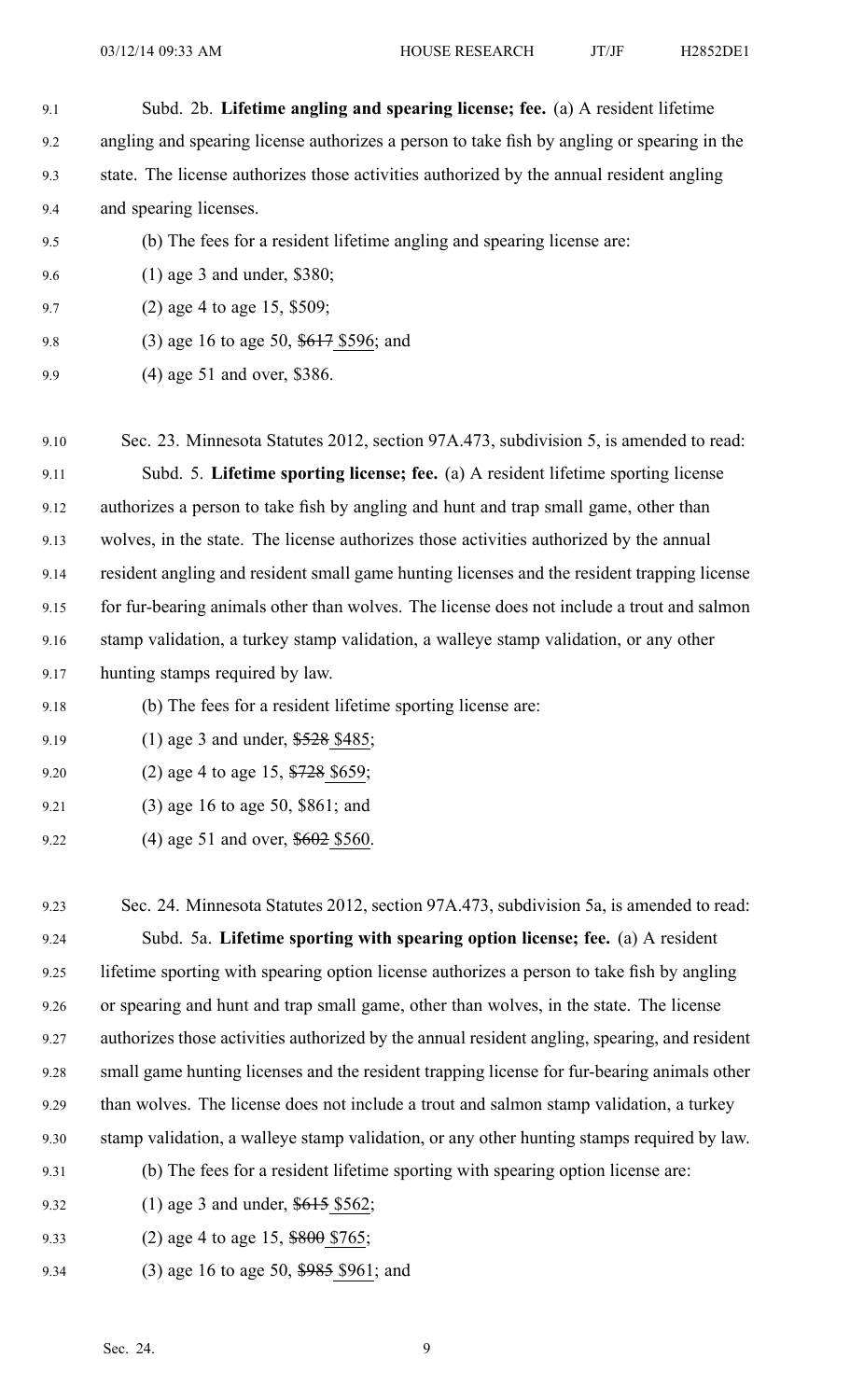- 9.1 Subd. 2b. **Lifetime angling and spearing license; fee.** (a) A resident lifetime 9.2 angling and spearing license authorizes <sup>a</sup> person to take fish by angling or spearing in the 9.3 state. The license authorizes those activities authorized by the annual resident angling 9.4 and spearing licenses. 9.5 (b) The fees for <sup>a</sup> resident lifetime angling and spearing license are: 9.6 (1) age 3 and under, \$380; 9.7 (2) age 4 to age 15, \$509; 9.8 (3) age 16 to age 50, \$617 \$596; and 9.9 (4) age 51 and over, \$386. 9.10 Sec. 23. Minnesota Statutes 2012, section 97A.473, subdivision 5, is amended to read: 9.11 Subd. 5. **Lifetime sporting license; fee.** (a) A resident lifetime sporting license 9.12 authorizes <sup>a</sup> person to take fish by angling and hunt and trap small game, other than 9.13 wolves, in the state. The license authorizes those activities authorized by the annual 9.14 resident angling and resident small game hunting licenses and the resident trapping license 9.15 for fur-bearing animals other than wolves. The license does not include <sup>a</sup> trout and salmon 9.16 stamp validation, <sup>a</sup> turkey stamp validation, <sup>a</sup> walleye stamp validation, or any other 9.17 hunting stamps required by law.
- 9.18 (b) The fees for <sup>a</sup> resident lifetime sporting license are:
- 9.19 (1) age 3 and under, \$528 \$485;
- 9.20 (2) age 4 to age 15, \$728 \$659;
- 9.21 (3) age 16 to age 50, \$861; and
- 9.22 (4) age 51 and over, \$602 \$560.

9.23 Sec. 24. Minnesota Statutes 2012, section 97A.473, subdivision 5a, is amended to read: 9.24 Subd. 5a. **Lifetime sporting with spearing option license; fee.** (a) A resident 9.25 lifetime sporting with spearing option license authorizes <sup>a</sup> person to take fish by angling 9.26 or spearing and hunt and trap small game, other than wolves, in the state. The license 9.27 authorizes those activities authorized by the annual resident angling, spearing, and resident 9.28 small game hunting licenses and the resident trapping license for fur-bearing animals other 9.29 than wolves. The license does not include <sup>a</sup> trout and salmon stamp validation, <sup>a</sup> turkey 9.30 stamp validation, <sup>a</sup> walleye stamp validation, or any other hunting stamps required by law. 9.31 (b) The fees for <sup>a</sup> resident lifetime sporting with spearing option license are:

- 9.32 (1) age 3 and under, \$615 \$562;
- 9.33 (2) age 4 to age 15, \$800 \$765;
- 9.34 (3) age 16 to age 50, \$985 \$961; and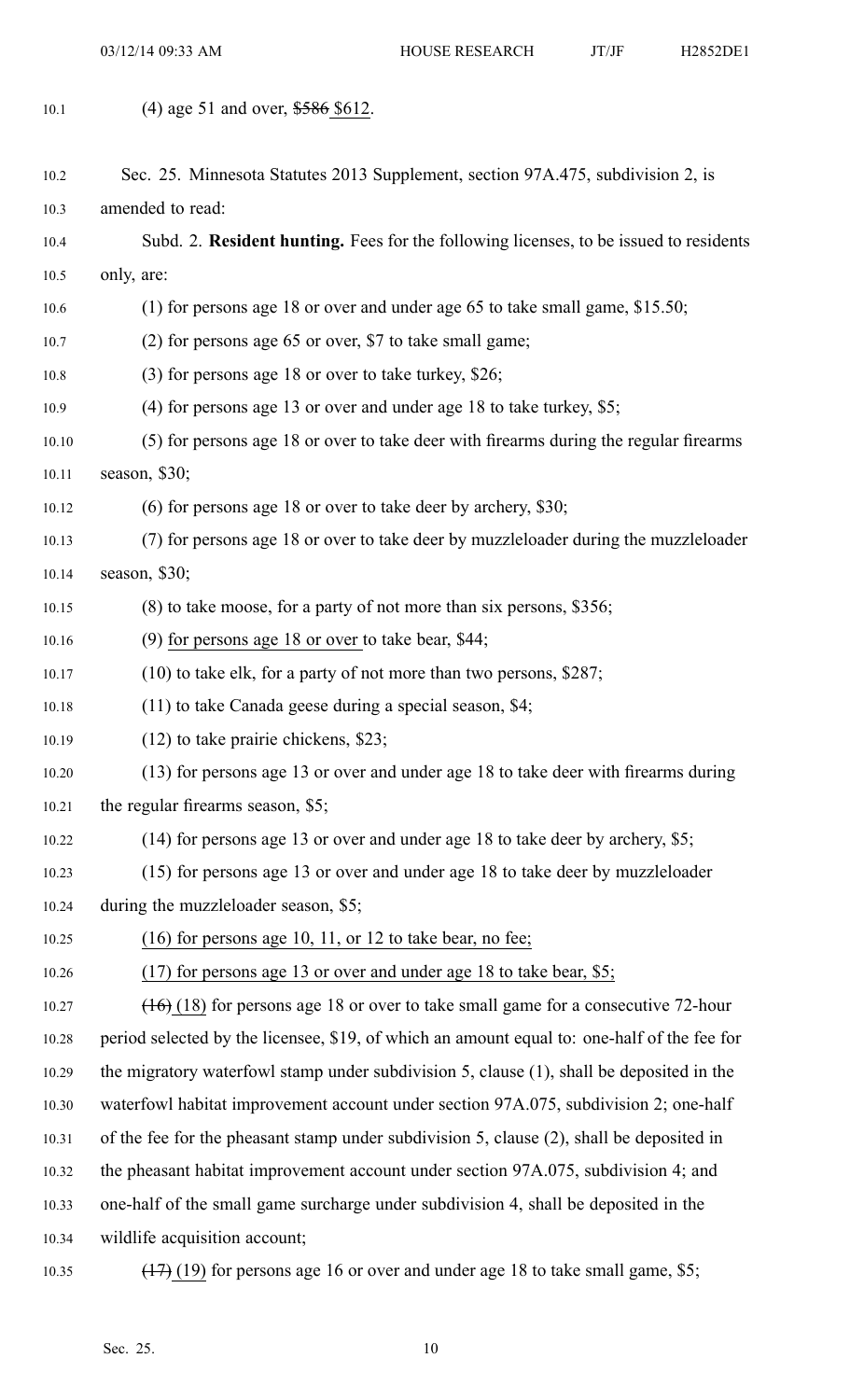03/12/14 09:33 AM HOUSE RESEARCH JT/JF H2852DE1

| 10.1  | (4) age 51 and over, \$586 \$612.                                                           |
|-------|---------------------------------------------------------------------------------------------|
| 10.2  | Sec. 25. Minnesota Statutes 2013 Supplement, section 97A.475, subdivision 2, is             |
| 10.3  | amended to read:                                                                            |
| 10.4  | Subd. 2. Resident hunting. Fees for the following licenses, to be issued to residents       |
| 10.5  | only, are:                                                                                  |
| 10.6  | (1) for persons age 18 or over and under age 65 to take small game, $$15.50$ ;              |
| 10.7  | (2) for persons age 65 or over, \$7 to take small game;                                     |
| 10.8  | $(3)$ for persons age 18 or over to take turkey, \$26;                                      |
| 10.9  | (4) for persons age 13 or over and under age 18 to take turkey, $$5;$                       |
| 10.10 | (5) for persons age 18 or over to take deer with firearms during the regular firearms       |
| 10.11 | season, $$30;$                                                                              |
| 10.12 | $(6)$ for persons age 18 or over to take deer by archery, \$30;                             |
| 10.13 | (7) for persons age 18 or over to take deer by muzzleloader during the muzzleloader         |
| 10.14 | season, $$30$ ;                                                                             |
| 10.15 | $(8)$ to take moose, for a party of not more than six persons, \$356;                       |
| 10.16 | $(9)$ for persons age 18 or over to take bear, \$44;                                        |
| 10.17 | $(10)$ to take elk, for a party of not more than two persons, \$287;                        |
| 10.18 | $(11)$ to take Canada geese during a special season, \$4;                                   |
| 10.19 | $(12)$ to take prairie chickens, \$23;                                                      |
| 10.20 | (13) for persons age 13 or over and under age 18 to take deer with firearms during          |
| 10.21 | the regular firearms season, \$5;                                                           |
| 10.22 | $(14)$ for persons age 13 or over and under age 18 to take deer by archery, \$5;            |
| 10.23 | (15) for persons age 13 or over and under age 18 to take deer by muzzleloader               |
| 10.24 | during the muzzleloader season, \$5;                                                        |
| 10.25 | $(16)$ for persons age 10, 11, or 12 to take bear, no fee;                                  |
| 10.26 | (17) for persons age 13 or over and under age 18 to take bear, \$5;                         |
| 10.27 | $(16)$ (18) for persons age 18 or over to take small game for a consecutive 72-hour         |
| 10.28 | period selected by the licensee, \$19, of which an amount equal to: one-half of the fee for |
| 10.29 | the migratory waterfowl stamp under subdivision 5, clause (1), shall be deposited in the    |
| 10.30 | waterfowl habitat improvement account under section 97A.075, subdivision 2; one-half        |
| 10.31 | of the fee for the pheasant stamp under subdivision 5, clause (2), shall be deposited in    |
| 10.32 | the pheasant habitat improvement account under section 97A.075, subdivision 4; and          |
| 10.33 | one-half of the small game surcharge under subdivision 4, shall be deposited in the         |
| 10.34 | wildlife acquisition account;                                                               |
| 10.35 | $(17)$ (19) for persons age 16 or over and under age 18 to take small game, \$5;            |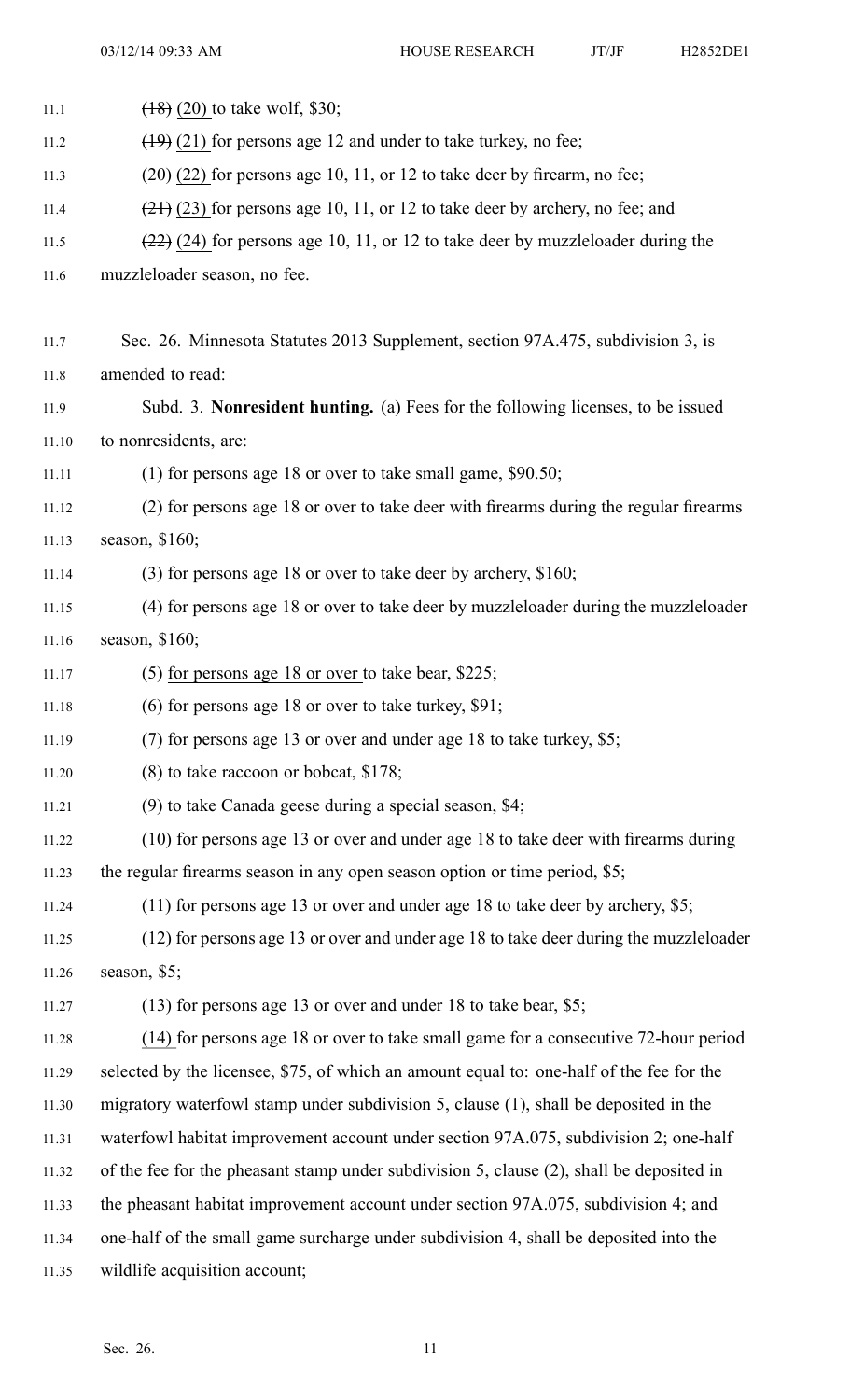| 11.1  | $(18)$ (20) to take wolf, \$30;                                                          |
|-------|------------------------------------------------------------------------------------------|
| 11.2  | $(19)$ (21) for persons age 12 and under to take turkey, no fee;                         |
| 11.3  | $(20)$ (22) for persons age 10, 11, or 12 to take deer by firearm, no fee;               |
| 11.4  | $(21)$ (23) for persons age 10, 11, or 12 to take deer by archery, no fee; and           |
| 11.5  | $(22)$ (24) for persons age 10, 11, or 12 to take deer by muzzleloader during the        |
| 11.6  | muzzleloader season, no fee.                                                             |
|       |                                                                                          |
| 11.7  | Sec. 26. Minnesota Statutes 2013 Supplement, section 97A.475, subdivision 3, is          |
| 11.8  | amended to read:                                                                         |
| 11.9  | Subd. 3. Nonresident hunting. (a) Fees for the following licenses, to be issued          |
| 11.10 | to nonresidents, are:                                                                    |
| 11.11 | $(1)$ for persons age 18 or over to take small game, \$90.50;                            |
| 11.12 | (2) for persons age 18 or over to take deer with firearms during the regular firearms    |
| 11.13 | season, \$160;                                                                           |
| 11.14 | $(3)$ for persons age 18 or over to take deer by archery, \$160;                         |
| 11.15 | (4) for persons age 18 or over to take deer by muzzleloader during the muzzleloader      |
| 11.16 | season, $$160;$                                                                          |
| 11.17 | $(5)$ for persons age 18 or over to take bear, \$225;                                    |
| 11.18 | $(6)$ for persons age 18 or over to take turkey, \$91;                                   |
| 11.19 | (7) for persons age 13 or over and under age 18 to take turkey, \$5;                     |
| 11.20 | $(8)$ to take raccoon or bobcat, \$178;                                                  |
| 11.21 | $(9)$ to take Canada geese during a special season, \$4;                                 |
| 11.22 | (10) for persons age 13 or over and under age 18 to take deer with firearms during       |
| 11.23 | the regular firearms season in any open season option or time period, \$5;               |
| 11.24 | $(11)$ for persons age 13 or over and under age 18 to take deer by archery, \$5;         |
| 11.25 | (12) for persons age 13 or over and under age 18 to take deer during the muzzleloader    |
| 11.26 | season, $$5;$                                                                            |
| 11.27 | $(13)$ for persons age 13 or over and under 18 to take bear, \$5;                        |
| 11.28 | (14) for persons age 18 or over to take small game for a consecutive 72-hour period      |
| 11.29 | selected by the licensee, \$75, of which an amount equal to: one-half of the fee for the |
| 11.30 | migratory waterfowl stamp under subdivision 5, clause (1), shall be deposited in the     |
| 11.31 | waterfowl habitat improvement account under section 97A.075, subdivision 2; one-half     |
| 11.32 | of the fee for the pheasant stamp under subdivision 5, clause (2), shall be deposited in |
| 11.33 | the pheasant habitat improvement account under section 97A.075, subdivision 4; and       |
| 11.34 | one-half of the small game surcharge under subdivision 4, shall be deposited into the    |
| 11.35 | wildlife acquisition account;                                                            |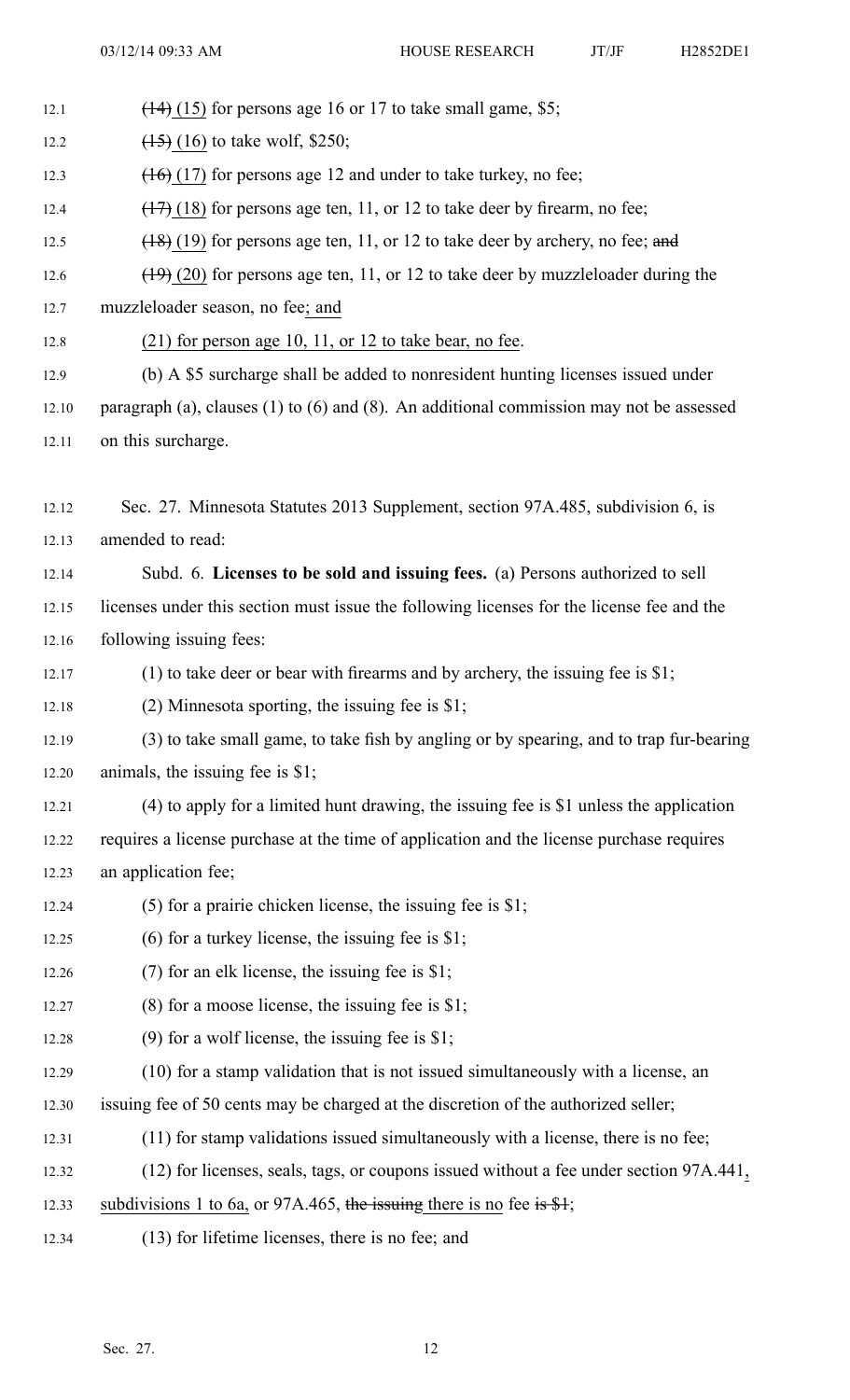12.1  $(14)$  (15) for persons age 16 or 17 to take small game, \$5;

12.2  $(15)$  (16) to take wolf, \$250;

- 12.3  $(16)$  (17) for persons age 12 and under to take turkey, no fee;
- 12.4  $(17)$  (18) for persons age ten, 11, or 12 to take deer by firearm, no fee;
- 12.5  $(18)(19)$  for persons age ten, 11, or 12 to take deer by archery, no fee; and
- 12.6  $(19)$  (20) for persons age ten, 11, or 12 to take deer by muzzleloader during the
- 12.7 muzzleloader season, no fee; and
- 12.8 (21) for person age 10, 11, or 12 to take bear, no fee.
- 12.9 (b) A \$5 surcharge shall be added to nonresident hunting licenses issued under
- 12.10 paragraph (a), clauses (1) to (6) and (8). An additional commission may not be assessed 12.11 on this surcharge.
- 12.12 Sec. 27. Minnesota Statutes 2013 Supplement, section 97A.485, subdivision 6, is 12.13 amended to read:
- 12.14 Subd. 6. **Licenses to be sold and issuing fees.** (a) Persons authorized to sell 12.15 licenses under this section must issue the following licenses for the license fee and the 12.16 following issuing fees:
- 12.17 (1) to take deer or bear with firearms and by archery, the issuing fee is \$1;
- 12.18 (2) Minnesota sporting, the issuing fee is \$1;
- 12.19 (3) to take small game, to take fish by angling or by spearing, and to trap fur-bearing 12.20 animals, the issuing fee is \$1;
- 12.21 (4) to apply for <sup>a</sup> limited hunt drawing, the issuing fee is \$1 unless the application 12.22 requires <sup>a</sup> license purchase at the time of application and the license purchase requires 12.23 an application fee;
- 12.24 (5) for <sup>a</sup> prairie chicken license, the issuing fee is \$1;
- 12.25 (6) for <sup>a</sup> turkey license, the issuing fee is \$1;
- 12.26 (7) for an elk license, the issuing fee is \$1;
- 12.27 (8) for <sup>a</sup> moose license, the issuing fee is \$1;
- 12.28 (9) for <sup>a</sup> wolf license, the issuing fee is \$1;
- 12.29 (10) for <sup>a</sup> stamp validation that is not issued simultaneously with <sup>a</sup> license, an
- 12.30 issuing fee of 50 cents may be charged at the discretion of the authorized seller;
- 12.31 (11) for stamp validations issued simultaneously with <sup>a</sup> license, there is no fee;
- 12.32 (12) for licenses, seals, tags, or coupons issued without <sup>a</sup> fee under section 97A.441,
- 12.33 subdivisions 1 to 6a, or 97A.465, the issuing there is no fee is \$1;
- 12.34 (13) for lifetime licenses, there is no fee; and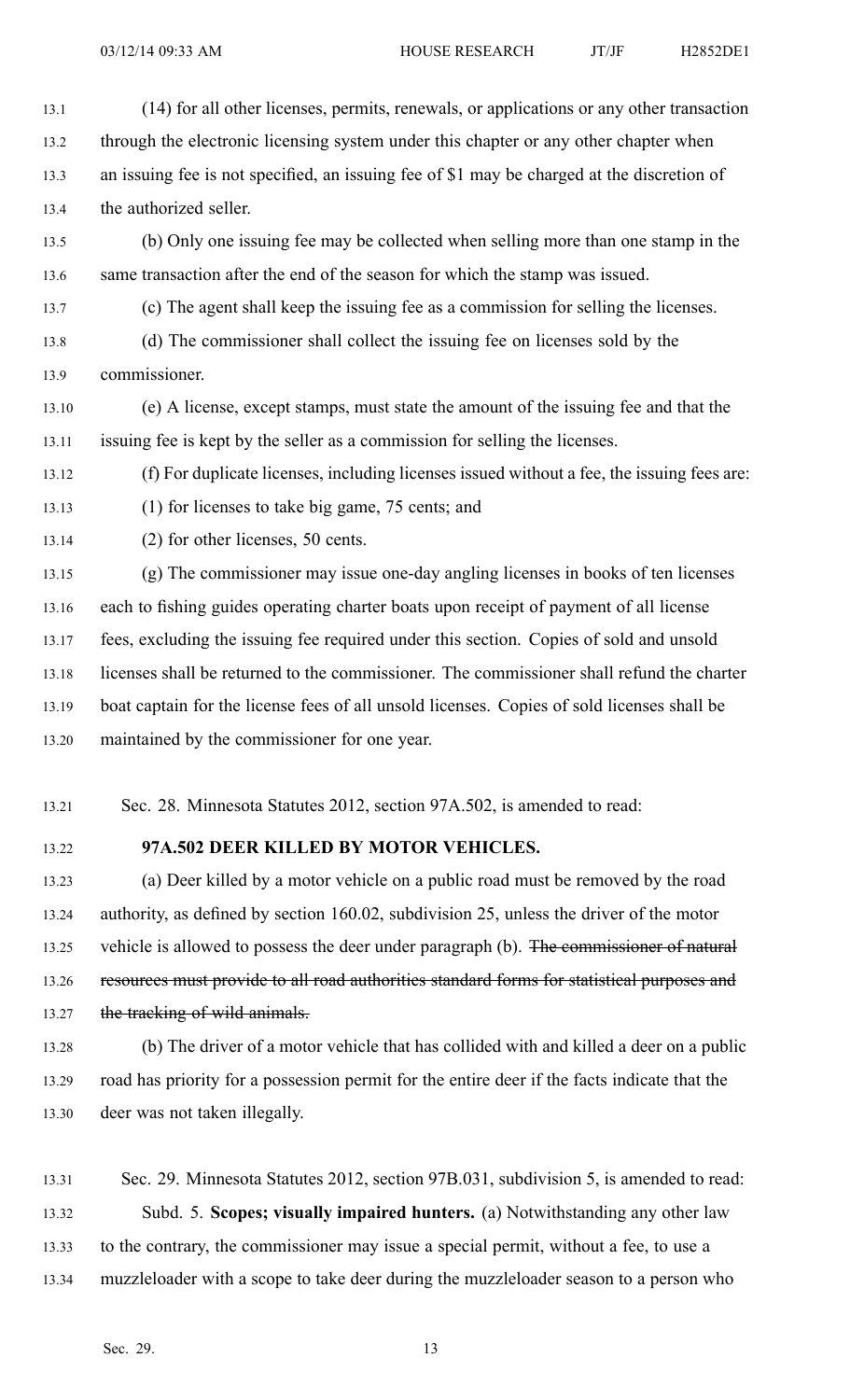- 13.1 (14) for all other licenses, permits, renewals, or applications or any other transaction 13.2 through the electronic licensing system under this chapter or any other chapter when 13.3 an issuing fee is not specified, an issuing fee of \$1 may be charged at the discretion of 13.4 the authorized seller. 13.5 (b) Only one issuing fee may be collected when selling more than one stamp in the 13.6 same transaction after the end of the season for which the stamp was issued. 13.7 (c) The agen<sup>t</sup> shall keep the issuing fee as <sup>a</sup> commission for selling the licenses. 13.8 (d) The commissioner shall collect the issuing fee on licenses sold by the 13.9 commissioner. 13.10 (e) A license, excep<sup>t</sup> stamps, must state the amount of the issuing fee and that the 13.11 issuing fee is kept by the seller as <sup>a</sup> commission for selling the licenses. 13.12 (f) For duplicate licenses, including licenses issued without <sup>a</sup> fee, the issuing fees are: 13.13 (1) for licenses to take big game, 75 cents; and 13.14 (2) for other licenses, 50 cents. 13.15 (g) The commissioner may issue one-day angling licenses in books of ten licenses 13.16 each to fishing guides operating charter boats upon receipt of paymen<sup>t</sup> of all license
- 13.17 fees, excluding the issuing fee required under this section. Copies of sold and unsold 13.18 licenses shall be returned to the commissioner. The commissioner shall refund the charter
- 13.19 boat captain for the license fees of all unsold licenses. Copies of sold licenses shall be 13.20 maintained by the commissioner for one year.
- 13.21 Sec. 28. Minnesota Statutes 2012, section 97A.502, is amended to read:
- 

#### 13.22 **97A.502 DEER KILLED BY MOTOR VEHICLES.**

13.23 (a) Deer killed by <sup>a</sup> motor vehicle on <sup>a</sup> public road must be removed by the road 13.24 authority, as defined by section 160.02, subdivision 25, unless the driver of the motor 13.25 vehicle is allowed to possess the deer under paragraph (b). The commissioner of natural 13.26 resources must provide to all road authorities standard forms for statistical purposes and 13.27 the tracking of wild animals.

13.28 (b) The driver of <sup>a</sup> motor vehicle that has collided with and killed <sup>a</sup> deer on <sup>a</sup> public 13.29 road has priority for <sup>a</sup> possession permit for the entire deer if the facts indicate that the 13.30 deer was not taken illegally.

13.31 Sec. 29. Minnesota Statutes 2012, section 97B.031, subdivision 5, is amended to read: 13.32 Subd. 5. **Scopes; visually impaired hunters.** (a) Notwithstanding any other law 13.33 to the contrary, the commissioner may issue <sup>a</sup> special permit, without <sup>a</sup> fee, to use <sup>a</sup> 13.34 muzzleloader with <sup>a</sup> scope to take deer during the muzzleloader season to <sup>a</sup> person who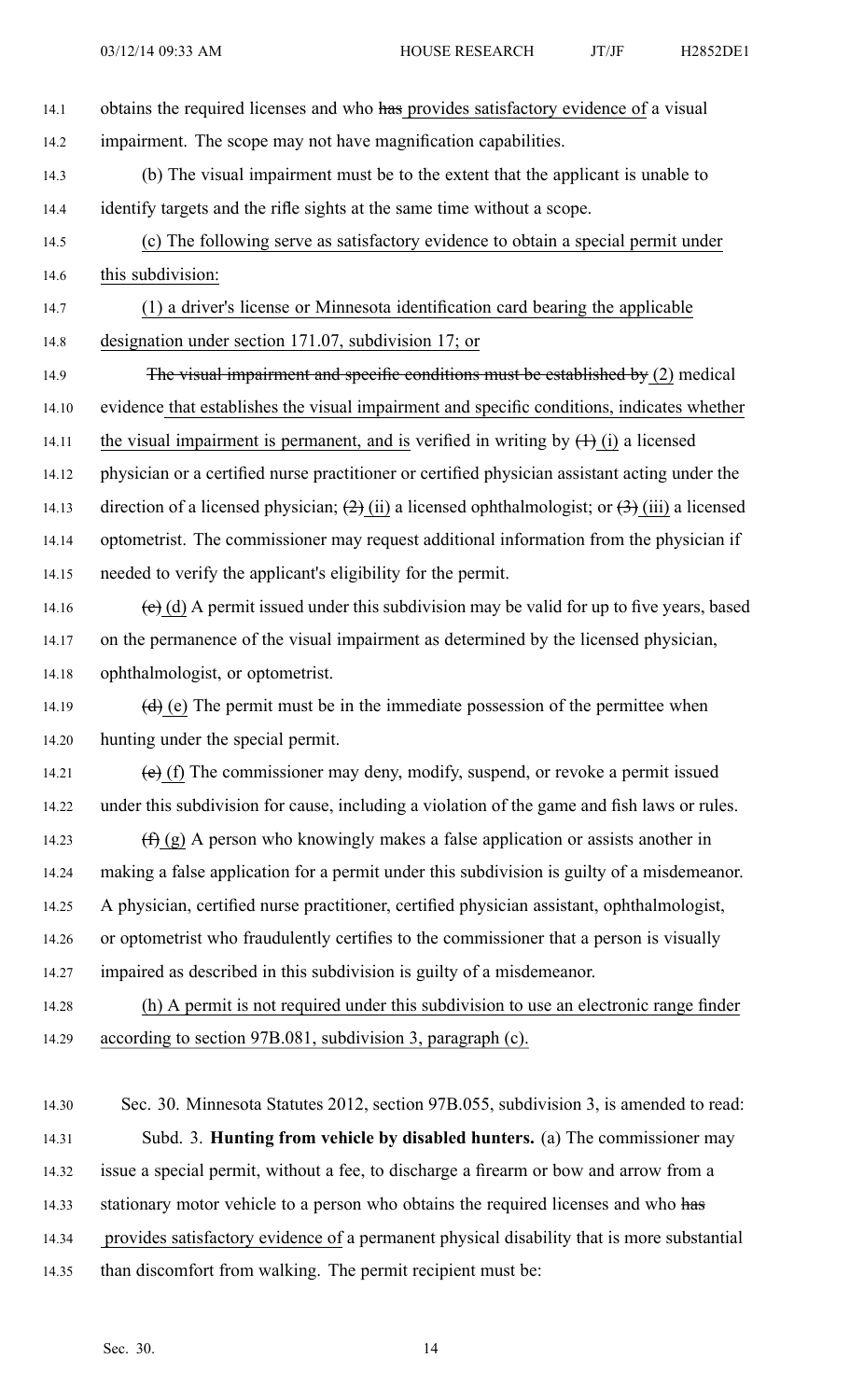- 14.1 obtains the required licenses and who has provides satisfactory evidence of a visual 14.2 impairment. The scope may not have magnification capabilities. 14.3 (b) The visual impairment must be to the extent that the applicant is unable to 14.4 identify targets and the rifle sights at the same time without <sup>a</sup> scope. 14.5 (c) The following serve as satisfactory evidence to obtain <sup>a</sup> special permit under 14.6 this subdivision: 14.7 (1) <sup>a</sup> driver's license or Minnesota identification card bearing the applicable 14.8 designation under section 171.07, subdivision 17; or 14.9 The visual impairment and specific conditions must be established by (2) medical 14.10 evidence that establishes the visual impairment and specific conditions, indicates whether 14.11 the visual impairment is permanent, and is verified in writing by  $(1)$  (i) a licensed 14.12 physician or <sup>a</sup> certified nurse practitioner or certified physician assistant acting under the 14.13 direction of a licensed physician;  $(2)$  (ii) a licensed ophthalmologist; or  $(3)$  (iii) a licensed 14.14 optometrist. The commissioner may reques<sup>t</sup> additional information from the physician if 14.15 needed to verify the applicant's eligibility for the permit. 14.16 (c) (d) A permit issued under this subdivision may be valid for up to five years, based 14.17 on the permanence of the visual impairment as determined by the licensed physician, 14.18 ophthalmologist, or optometrist. 14.19  $(d)$  (e) The permit must be in the immediate possession of the permittee when 14.20 hunting under the special permit. 14.21 (e) (f) The commissioner may deny, modify, suspend, or revoke a permit issued 14.22 under this subdivision for cause, including <sup>a</sup> violation of the game and fish laws or rules. 14.23  $(f)(g)$  A person who knowingly makes a false application or assists another in 14.24 making <sup>a</sup> false application for <sup>a</sup> permit under this subdivision is guilty of <sup>a</sup> misdemeanor. 14.25 A physician, certified nurse practitioner, certified physician assistant, ophthalmologist, 14.26 or optometrist who fraudulently certifies to the commissioner that <sup>a</sup> person is visually 14.27 impaired as described in this subdivision is guilty of <sup>a</sup> misdemeanor. 14.28 (h) A permit is not required under this subdivision to use an electronic range finder 14.29 according to section 97B.081, subdivision 3, paragraph (c). 14.30 Sec. 30. Minnesota Statutes 2012, section 97B.055, subdivision 3, is amended to read: 14.31 Subd. 3. **Hunting from vehicle by disabled hunters.** (a) The commissioner may 14.32 issue <sup>a</sup> special permit, without <sup>a</sup> fee, to discharge <sup>a</sup> firearm or bow and arrow from <sup>a</sup> 14.33 stationary motor vehicle to a person who obtains the required licenses and who has 14.34 provides satisfactory evidence of <sup>a</sup> permanen<sup>t</sup> physical disability that is more substantial
- 14.35 than discomfort from walking. The permit recipient must be: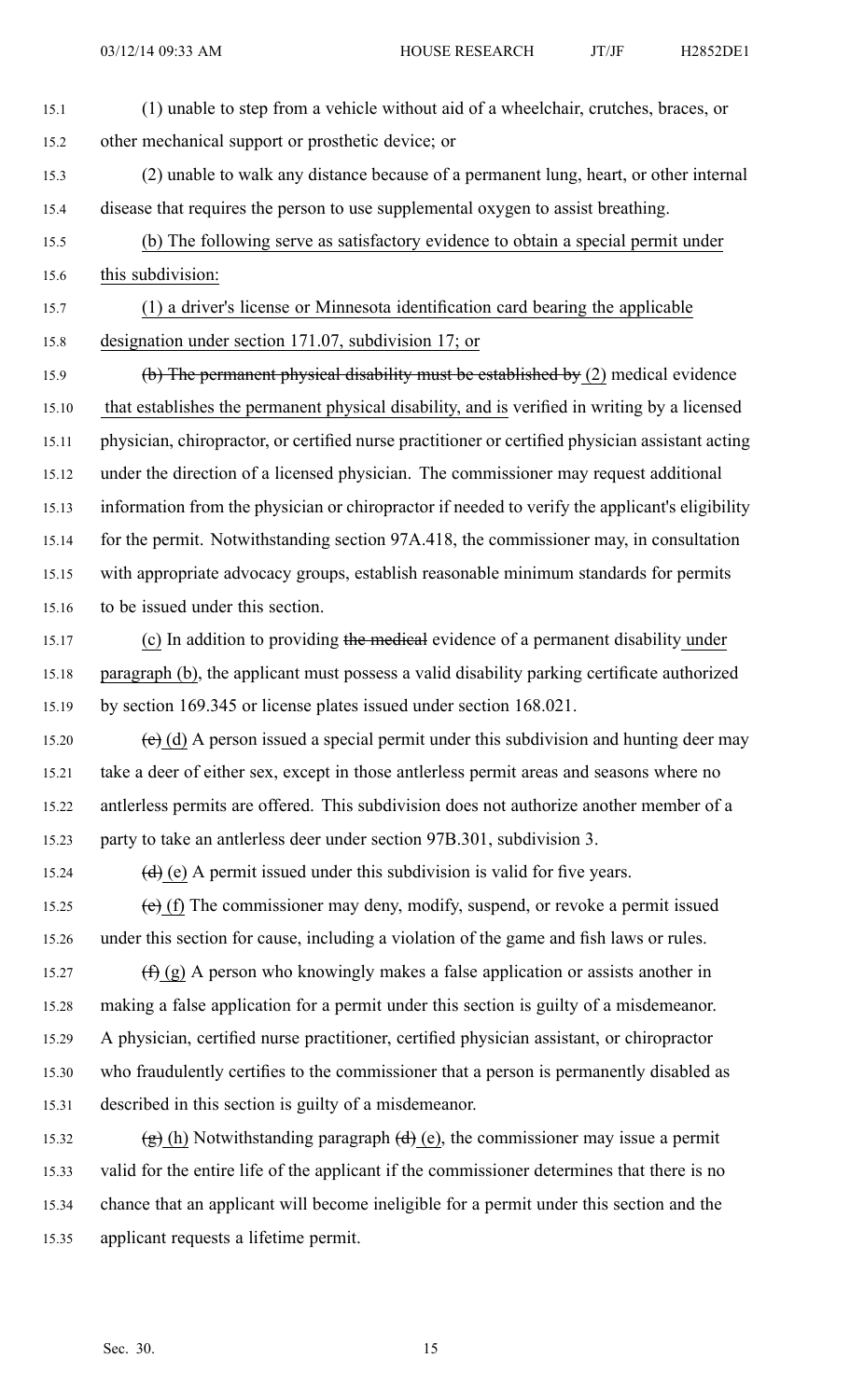- 15.1 (1) unable to step from <sup>a</sup> vehicle without aid of <sup>a</sup> wheelchair, crutches, braces, or 15.2 other mechanical suppor<sup>t</sup> or prosthetic device; or 15.3 (2) unable to walk any distance because of <sup>a</sup> permanen<sup>t</sup> lung, heart, or other internal 15.4 disease that requires the person to use supplemental oxygen to assist breathing.
- 15.5 (b) The following serve as satisfactory evidence to obtain <sup>a</sup> special permit under 15.6 this subdivision:
- 15.7 (1) <sup>a</sup> driver's license or Minnesota identification card bearing the applicable 15.8 designation under section 171.07, subdivision 17; or
- 15.9 (b) The permanen<sup>t</sup> physical disability must be established by (2) medical evidence 15.10 that establishes the permanen<sup>t</sup> physical disability, and is verified in writing by <sup>a</sup> licensed 15.11 physician, chiropractor, or certified nurse practitioner or certified physician assistant acting 15.12 under the direction of <sup>a</sup> licensed physician. The commissioner may reques<sup>t</sup> additional 15.13 information from the physician or chiropractor if needed to verify the applicant's eligibility 15.14 for the permit. Notwithstanding section 97A.418, the commissioner may, in consultation 15.15 with appropriate advocacy groups, establish reasonable minimum standards for permits 15.16 to be issued under this section.
- 15.17 (c) In addition to providing the medical evidence of a permanent disability under 15.18 paragraph (b), the applicant must possess <sup>a</sup> valid disability parking certificate authorized 15.19 by section 169.345 or license plates issued under section 168.021.
- 15.20 (c) (d) A person issued a special permit under this subdivision and hunting deer may 15.21 take <sup>a</sup> deer of either sex, excep<sup>t</sup> in those antlerless permit areas and seasons where no 15.22 antlerless permits are offered. This subdivision does not authorize another member of <sup>a</sup> 15.23 party to take an antlerless deer under section 97B.301, subdivision 3.
- 15.24 (d) (e) A permit issued under this subdivision is valid for five years.
- 15.25 (e) (f) The commissioner may deny, modify, suspend, or revoke <sup>a</sup> permit issued 15.26 under this section for cause, including <sup>a</sup> violation of the game and fish laws or rules.
- 15.27  $(f)$  (g) A person who knowingly makes a false application or assists another in 15.28 making <sup>a</sup> false application for <sup>a</sup> permit under this section is guilty of <sup>a</sup> misdemeanor. 15.29 A physician, certified nurse practitioner, certified physician assistant, or chiropractor 15.30 who fraudulently certifies to the commissioner that <sup>a</sup> person is permanently disabled as 15.31 described in this section is guilty of <sup>a</sup> misdemeanor.
- 15.32 (g) (h) Notwithstanding paragraph  $(d)$  (e), the commissioner may issue a permit 15.33 valid for the entire life of the applicant if the commissioner determines that there is no 15.34 chance that an applicant will become ineligible for <sup>a</sup> permit under this section and the 15.35 applicant requests <sup>a</sup> lifetime permit.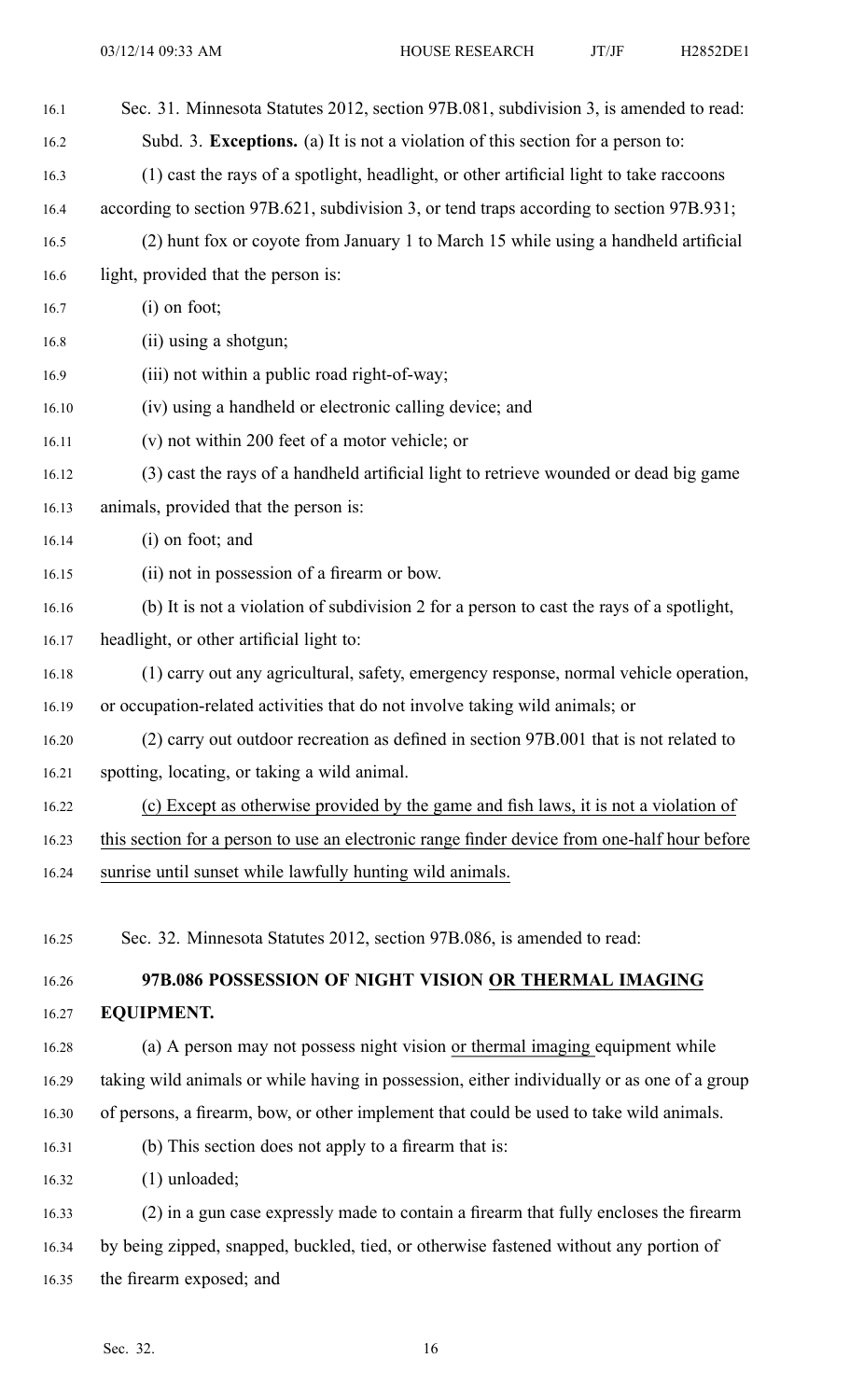| 16.1  | Sec. 31. Minnesota Statutes 2012, section 97B.081, subdivision 3, is amended to read:        |
|-------|----------------------------------------------------------------------------------------------|
| 16.2  | Subd. 3. Exceptions. (a) It is not a violation of this section for a person to:              |
| 16.3  | (1) cast the rays of a spotlight, headlight, or other artificial light to take raccoons      |
| 16.4  | according to section 97B.621, subdivision 3, or tend traps according to section 97B.931;     |
| 16.5  | (2) hunt fox or coyote from January 1 to March 15 while using a handheld artificial          |
| 16.6  | light, provided that the person is:                                                          |
| 16.7  | $(i)$ on foot;                                                                               |
| 16.8  | (ii) using a shotgun;                                                                        |
| 16.9  | (iii) not within a public road right-of-way;                                                 |
| 16.10 | (iv) using a handheld or electronic calling device; and                                      |
| 16.11 | (v) not within 200 feet of a motor vehicle; or                                               |
| 16.12 | (3) cast the rays of a handheld artificial light to retrieve wounded or dead big game        |
| 16.13 | animals, provided that the person is:                                                        |
| 16.14 | (i) on foot; and                                                                             |
| 16.15 | (ii) not in possession of a firearm or bow.                                                  |
| 16.16 | (b) It is not a violation of subdivision 2 for a person to cast the rays of a spotlight,     |
| 16.17 | headlight, or other artificial light to:                                                     |
| 16.18 | (1) carry out any agricultural, safety, emergency response, normal vehicle operation,        |
| 16.19 | or occupation-related activities that do not involve taking wild animals; or                 |
| 16.20 | (2) carry out outdoor recreation as defined in section 97B.001 that is not related to        |
| 16.21 | spotting, locating, or taking a wild animal.                                                 |
| 16.22 | (c) Except as otherwise provided by the game and fish laws, it is not a violation of         |
| 16.23 | this section for a person to use an electronic range finder device from one-half hour before |
| 16.24 | sunrise until sunset while lawfully hunting wild animals.                                    |
|       |                                                                                              |
| 16.25 | Sec. 32. Minnesota Statutes 2012, section 97B.086, is amended to read:                       |
| 16.26 | 97B.086 POSSESSION OF NIGHT VISION OR THERMAL IMAGING                                        |
| 16.27 | <b>EQUIPMENT.</b>                                                                            |
| 16.28 | (a) A person may not possess night vision or thermal imaging equipment while                 |
| 16.29 | taking wild animals or while having in possession, either individually or as one of a group  |
| 16.30 | of persons, a firearm, bow, or other implement that could be used to take wild animals.      |
| 16.31 | (b) This section does not apply to a firearm that is:                                        |
| 16.32 | $(1)$ unloaded;                                                                              |
| 16.33 | (2) in a gun case expressly made to contain a firearm that fully encloses the firearm        |
| 16.34 | by being zipped, snapped, buckled, tied, or otherwise fastened without any portion of        |

16.35 the firearm exposed; and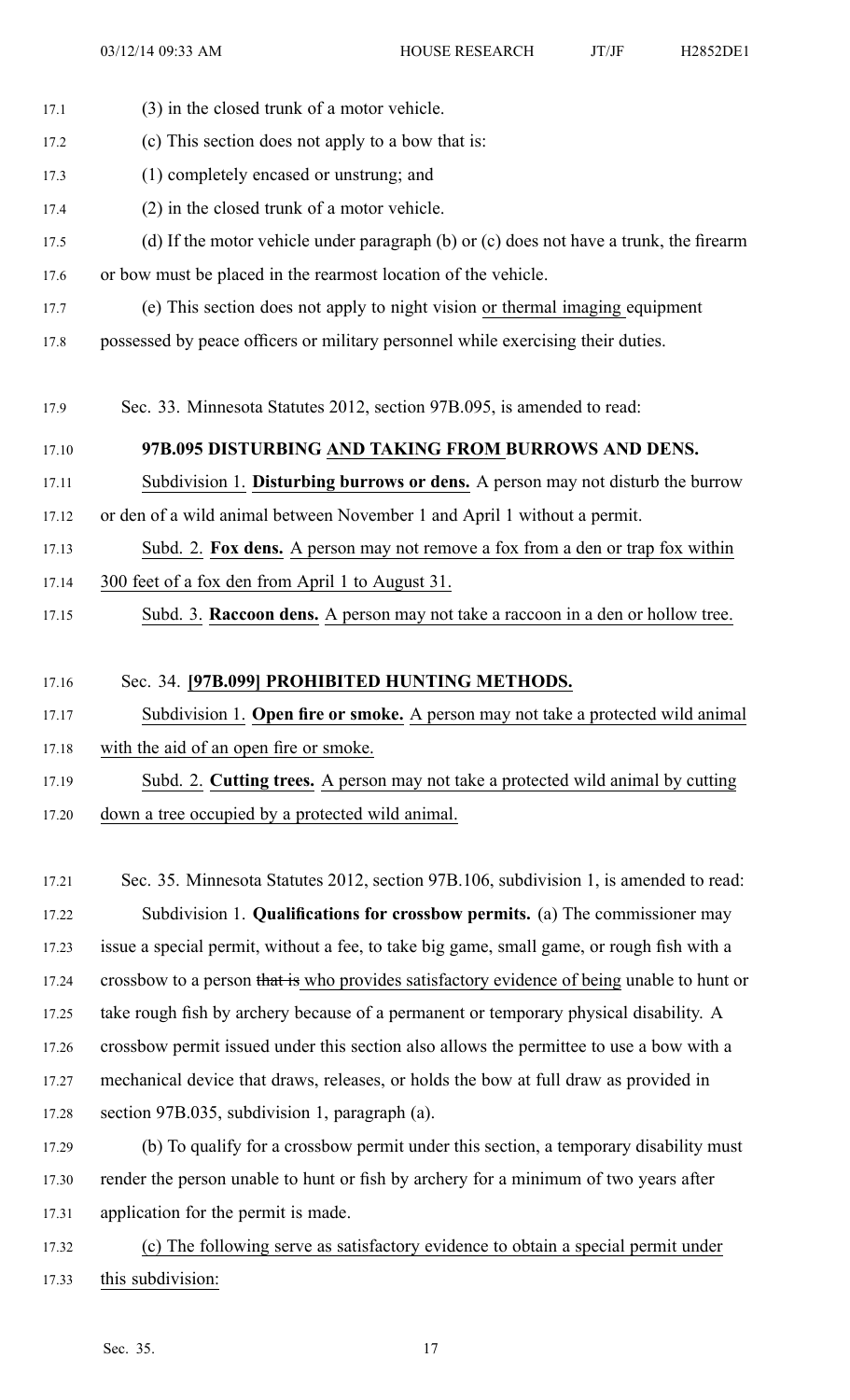17.1 (3) in the closed trunk of <sup>a</sup> motor vehicle.

17.2 (c) This section does not apply to <sup>a</sup> bow that is: 17.3 (1) completely encased or unstrung; and 17.4 (2) in the closed trunk of <sup>a</sup> motor vehicle. 17.5 (d) If the motor vehicle under paragraph (b) or (c) does not have <sup>a</sup> trunk, the firearm 17.6 or bow must be placed in the rearmost location of the vehicle. 17.7 (e) This section does not apply to night vision or thermal imaging equipment 17.8 possessed by peace officers or military personnel while exercising their duties. 17.9 Sec. 33. Minnesota Statutes 2012, section 97B.095, is amended to read: 17.10 **97B.095 DISTURBING AND TAKING FROM BURROWS AND DENS.** 17.11 Subdivision 1. **Disturbing burrows or dens.** A person may not disturb the burrow 17.12 or den of <sup>a</sup> wild animal between November 1 and April 1 without <sup>a</sup> permit. 17.13 Subd. 2. **Fox dens.** A person may not remove <sup>a</sup> fox from <sup>a</sup> den or trap fox within 17.14 300 feet of <sup>a</sup> fox den from April 1 to August 31. 17.15 Subd. 3. **Raccoon dens.** A person may not take <sup>a</sup> raccoon in <sup>a</sup> den or hollow tree. 17.16 Sec. 34. **[97B.099] PROHIBITED HUNTING METHODS.**

17.17 Subdivision 1. **Open fire or smoke.** A person may not take <sup>a</sup> protected wild animal 17.18 with the aid of an open fire or smoke.

17.19 Subd. 2. **Cutting trees.** A person may not take <sup>a</sup> protected wild animal by cutting 17.20 down <sup>a</sup> tree occupied by <sup>a</sup> protected wild animal.

17.21 Sec. 35. Minnesota Statutes 2012, section 97B.106, subdivision 1, is amended to read: 17.22 Subdivision 1. **Qualifications for crossbow permits.** (a) The commissioner may 17.23 issue <sup>a</sup> special permit, without <sup>a</sup> fee, to take big game, small game, or rough fish with <sup>a</sup> 17.24 crossbow to a person that is who provides satisfactory evidence of being unable to hunt or 17.25 take rough fish by archery because of <sup>a</sup> permanen<sup>t</sup> or temporary physical disability. A 17.26 crossbow permit issued under this section also allows the permittee to use <sup>a</sup> bow with <sup>a</sup> 17.27 mechanical device that draws, releases, or holds the bow at full draw as provided in 17.28 section 97B.035, subdivision 1, paragraph (a).

17.29 (b) To qualify for <sup>a</sup> crossbow permit under this section, <sup>a</sup> temporary disability must 17.30 render the person unable to hunt or fish by archery for <sup>a</sup> minimum of two years after 17.31 application for the permit is made.

17.32 (c) The following serve as satisfactory evidence to obtain <sup>a</sup> special permit under 17.33 this subdivision: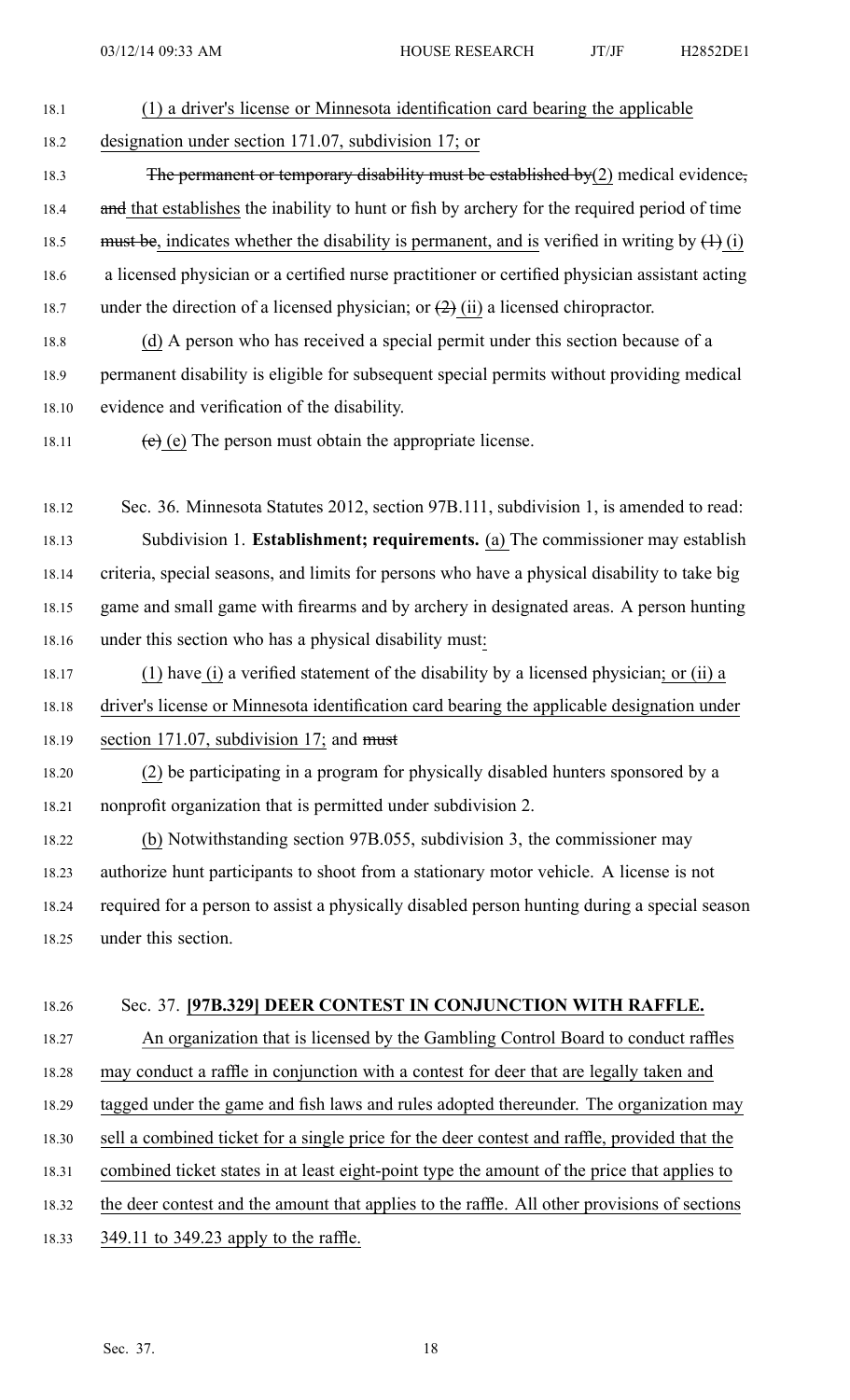- 18.1 (1) <sup>a</sup> driver's license or Minnesota identification card bearing the applicable 18.2 designation under section 171.07, subdivision 17; or
- 18.3 The permanent or temporary disability must be established by(2) medical evidence, 18.4 and that establishes the inability to hunt or fish by archery for the required period of time 18.5 must be, indicates whether the disability is permanent, and is verified in writing by  $(1)$  (i) 18.6 <sup>a</sup> licensed physician or <sup>a</sup> certified nurse practitioner or certified physician assistant acting 18.7 under the direction of a licensed physician; or  $(2)$  (ii) a licensed chiropractor.
- 18.8 (d) A person who has received a special permit under this section because of a 18.9 permanen<sup>t</sup> disability is eligible for subsequent special permits without providing medical 18.10 evidence and verification of the disability.
- 18.11 (e) (e) The person must obtain the appropriate license.
- 18.12 Sec. 36. Minnesota Statutes 2012, section 97B.111, subdivision 1, is amended to read: 18.13 Subdivision 1. **Establishment; requirements.** (a) The commissioner may establish 18.14 criteria, special seasons, and limits for persons who have <sup>a</sup> physical disability to take big 18.15 game and small game with firearms and by archery in designated areas. A person hunting 18.16 under this section who has <sup>a</sup> physical disability must:
- 18.17 (1) have (i) <sup>a</sup> verified statement of the disability by <sup>a</sup> licensed physician; or (ii) <sup>a</sup> 18.18 driver's license or Minnesota identification card bearing the applicable designation under 18.19 section 171.07, subdivision 17; and must
- 18.20 (2) be participating in <sup>a</sup> program for physically disabled hunters sponsored by <sup>a</sup> 18.21 nonprofit organization that is permitted under subdivision 2.
- 18.22 (b) Notwithstanding section 97B.055, subdivision 3, the commissioner may 18.23 authorize hunt participants to shoot from <sup>a</sup> stationary motor vehicle. A license is not 18.24 required for <sup>a</sup> person to assist <sup>a</sup> physically disabled person hunting during <sup>a</sup> special season 18.25 under this section.
- 18.26 Sec. 37. **[97B.329] DEER CONTEST IN CONJUNCTION WITH RAFFLE.**
- 18.27 An organization that is licensed by the Gambling Control Board to conduct raffles 18.28 may conduct <sup>a</sup> raffle in conjunction with <sup>a</sup> contest for deer that are legally taken and 18.29 tagged under the game and fish laws and rules adopted thereunder. The organization may 18.30 sell <sup>a</sup> combined ticket for <sup>a</sup> single price for the deer contest and raffle, provided that the 18.31 combined ticket states in at least eight-point type the amount of the price that applies to 18.32 the deer contest and the amount that applies to the raffle. All other provisions of sections 18.33 349.11 to 349.23 apply to the raffle.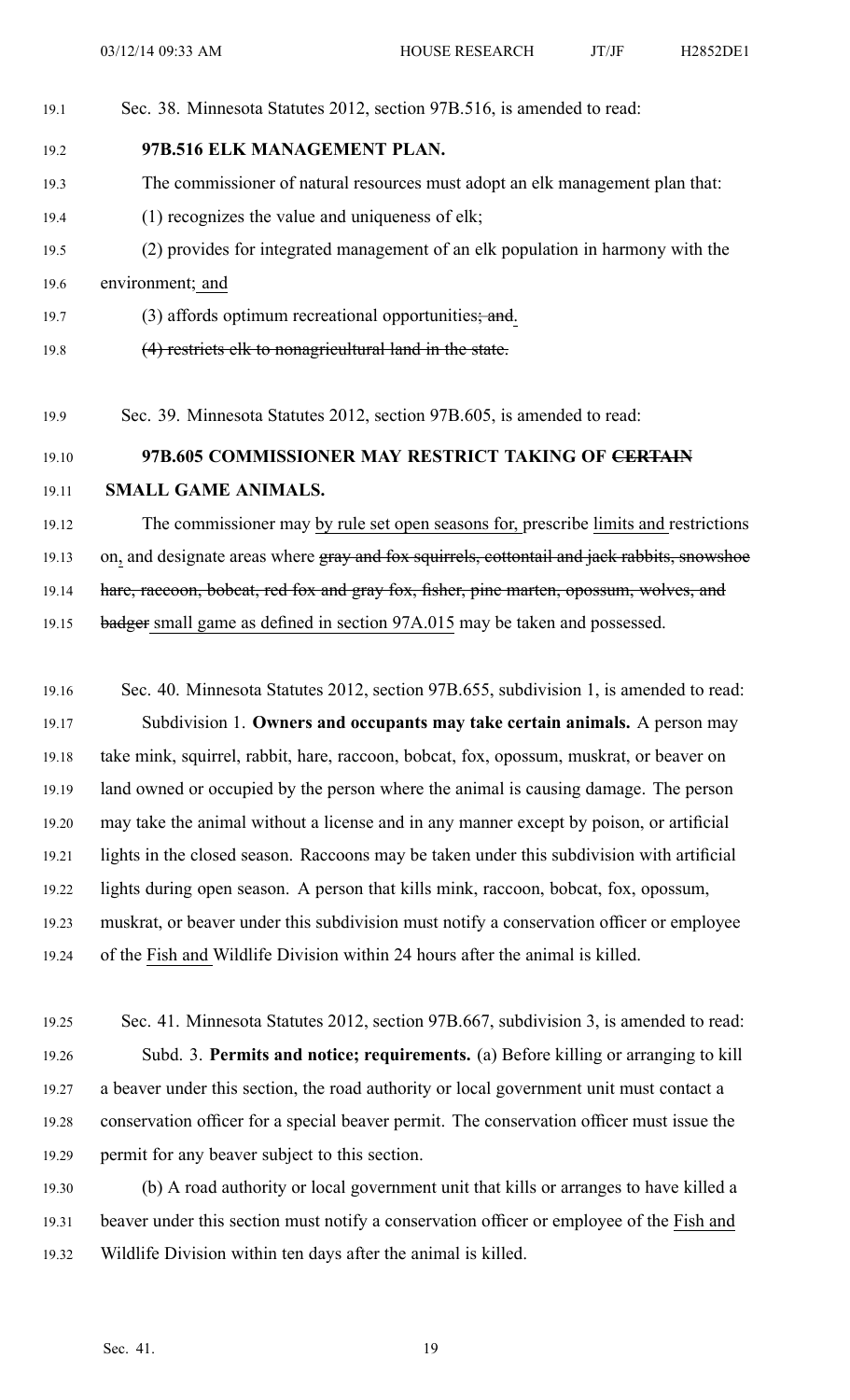- 19.1 Sec. 38. Minnesota Statutes 2012, section 97B.516, is amended to read:
- 19.2 **97B.516 ELK MANAGEMENT PLAN.**
- 19.3 The commissioner of natural resources must adopt an elk managemen<sup>t</sup> plan that:
- 19.4 (1) recognizes the value and uniqueness of elk;
- 19.5 (2) provides for integrated managemen<sup>t</sup> of an elk population in harmony with the 19.6 environment; and
- 19.7 (3) affords optimum recreational opportunities; and.
- 19.8 (4) restricts elk to nonagricultural land in the state.
- 19.9 Sec. 39. Minnesota Statutes 2012, section 97B.605, is amended to read:

## 19.10 **97B.605 COMMISSIONER MAY RESTRICT TAKING OF CERTAIN**

## 19.11 **SMALL GAME ANIMALS.**

- 19.12 The commissioner may by rule set open seasons for, prescribe limits and restrictions
- 19.13 on, and designate areas where gray and fox squirrels, cottontail and jack rabbits, snowshoe

19.14 hare, raccoon, bobcat, red fox and gray fox, fisher, pine marten, opossum, wolves, and

19.15 badger small game as defined in section 97A.015 may be taken and possessed.

- 19.16 Sec. 40. Minnesota Statutes 2012, section 97B.655, subdivision 1, is amended to read: 19.17 Subdivision 1. **Owners and occupants may take certain animals.** A person may 19.18 take mink, squirrel, rabbit, hare, raccoon, bobcat, fox, opossum, muskrat, or beaver on 19.19 land owned or occupied by the person where the animal is causing damage. The person 19.20 may take the animal without <sup>a</sup> license and in any manner excep<sup>t</sup> by poison, or artificial 19.21 lights in the closed season. Raccoons may be taken under this subdivision with artificial 19.22 lights during open season. A person that kills mink, raccoon, bobcat, fox, opossum, 19.23 muskrat, or beaver under this subdivision must notify <sup>a</sup> conservation officer or employee 19.24 of the Fish and Wildlife Division within 24 hours after the animal is killed.
- 19.25 Sec. 41. Minnesota Statutes 2012, section 97B.667, subdivision 3, is amended to read: 19.26 Subd. 3. **Permits and notice; requirements.** (a) Before killing or arranging to kill 19.27 <sup>a</sup> beaver under this section, the road authority or local governmen<sup>t</sup> unit must contact <sup>a</sup> 19.28 conservation officer for <sup>a</sup> special beaver permit. The conservation officer must issue the 19.29 permit for any beaver subject to this section.
- 19.30 (b) A road authority or local governmen<sup>t</sup> unit that kills or arranges to have killed <sup>a</sup> 19.31 beaver under this section must notify a conservation officer or employee of the Fish and 19.32 Wildlife Division within ten days after the animal is killed.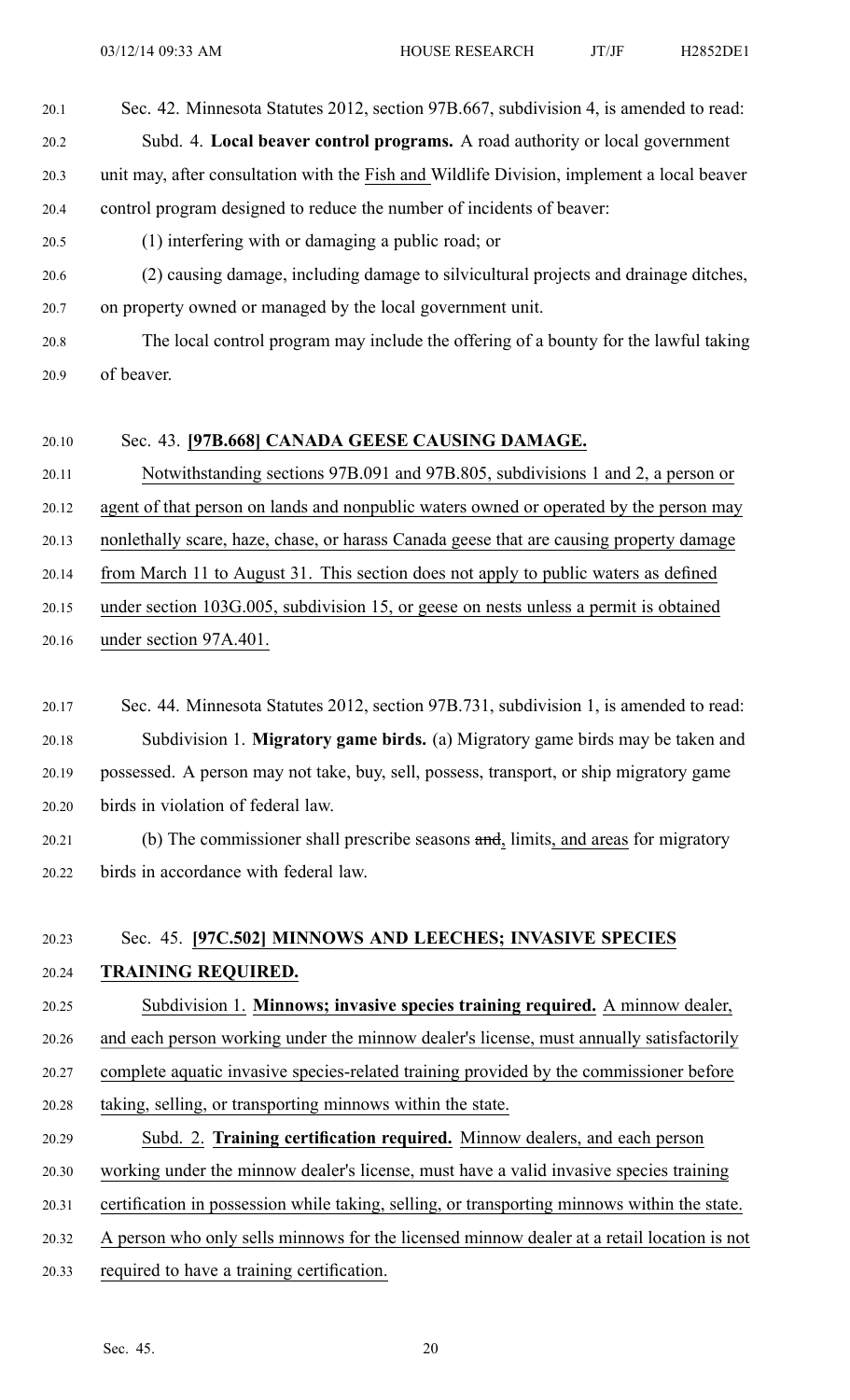20.1 Sec. 42. Minnesota Statutes 2012, section 97B.667, subdivision 4, is amended to read:

20.2 Subd. 4. **Local beaver control programs.** A road authority or local governmen<sup>t</sup>

20.3 unit may, after consultation with the Fish and Wildlife Division, implement <sup>a</sup> local beaver 20.4 control program designed to reduce the number of incidents of beaver:

20.5 (1) interfering with or damaging <sup>a</sup> public road; or

- 20.6 (2) causing damage, including damage to silvicultural projects and drainage ditches, 20.7 on property owned or managed by the local governmen<sup>t</sup> unit.
- 20.8 The local control program may include the offering of <sup>a</sup> bounty for the lawful taking 20.9 of beaver.

## 20.10 Sec. 43. **[97B.668] CANADA GEESE CAUSING DAMAGE.**

20.11 Notwithstanding sections 97B.091 and 97B.805, subdivisions 1 and 2, <sup>a</sup> person or

20.12 agen<sup>t</sup> of that person on lands and nonpublic waters owned or operated by the person may

20.13 nonlethally scare, haze, chase, or harass Canada geese that are causing property damage

20.14 from March 11 to August 31. This section does not apply to public waters as defined

- 20.15 under section 103G.005, subdivision 15, or geese on nests unless <sup>a</sup> permit is obtained
- 20.16 under section 97A.401.
- 20.17 Sec. 44. Minnesota Statutes 2012, section 97B.731, subdivision 1, is amended to read: 20.18 Subdivision 1. **Migratory game birds.** (a) Migratory game birds may be taken and 20.19 possessed. A person may not take, buy, sell, possess, transport, or ship migratory game 20.20 birds in violation of federal law.
- 20.21 (b) The commissioner shall prescribe seasons and, limits, and areas for migratory 20.22 birds in accordance with federal law.

## 20.23 Sec. 45. **[97C.502] MINNOWS AND LEECHES; INVASIVE SPECIES**

## 20.24 **TRAINING REQUIRED.**

20.25 Subdivision 1. **Minnows; invasive species training required.** A minnow dealer, 20.26 and each person working under the minnow dealer's license, must annually satisfactorily 20.27 complete aquatic invasive species-related training provided by the commissioner before 20.28 taking, selling, or transporting minnows within the state.

20.29 Subd. 2. **Training certification required.** Minnow dealers, and each person

20.30 working under the minnow dealer's license, must have <sup>a</sup> valid invasive species training

- 20.31 certification in possession while taking, selling, or transporting minnows within the state.
- 20.32 A person who only sells minnows for the licensed minnow dealer at <sup>a</sup> retail location is not
- 20.33 required to have <sup>a</sup> training certification.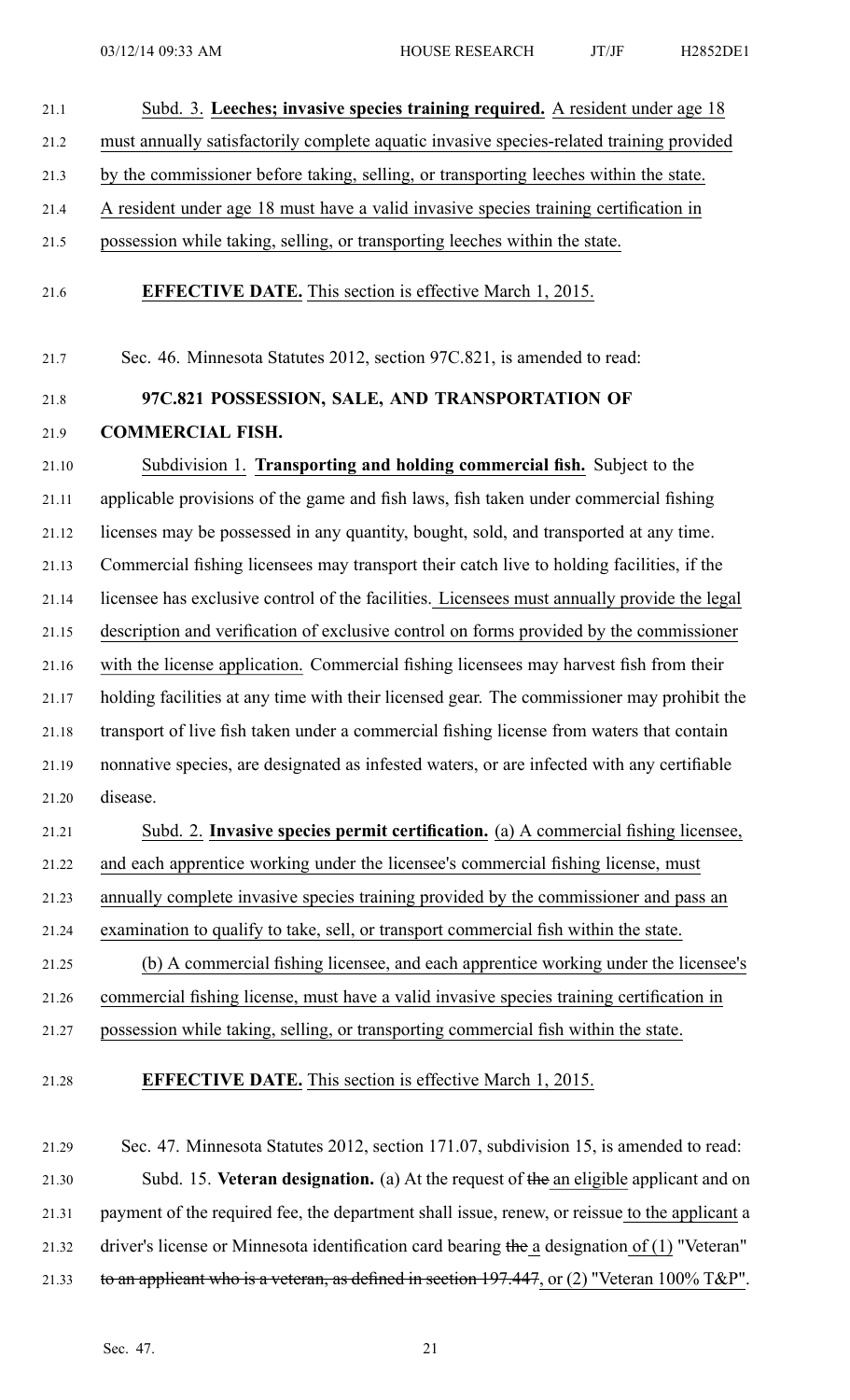# 21.1 Subd. 3. **Leeches; invasive species training required.** A resident under age 18 21.2 must annually satisfactorily complete aquatic invasive species-related training provided 21.3 by the commissioner before taking, selling, or transporting leeches within the state.

- 21.4 A resident under age 18 must have <sup>a</sup> valid invasive species training certification in
- 21.5 possession while taking, selling, or transporting leeches within the state.
- 21.6 **EFFECTIVE DATE.** This section is effective March 1, 2015.

21.7 Sec. 46. Minnesota Statutes 2012, section 97C.821, is amended to read:

## 21.8 **97C.821 POSSESSION, SALE, AND TRANSPORTATION OF** 21.9 **COMMERCIAL FISH.**

21.10 Subdivision 1. **Transporting and holding commercial fish.** Subject to the 21.11 applicable provisions of the game and fish laws, fish taken under commercial fishing 21.12 licenses may be possessed in any quantity, bought, sold, and transported at any time. 21.13 Commercial fishing licensees may transport their catch live to holding facilities, if the 21.14 licensee has exclusive control of the facilities. Licensees must annually provide the legal 21.15 description and verification of exclusive control on forms provided by the commissioner 21.16 with the license application. Commercial fishing licensees may harvest fish from their 21.17 holding facilities at any time with their licensed gear. The commissioner may prohibit the 21.18 transport of live fish taken under <sup>a</sup> commercial fishing license from waters that contain 21.19 nonnative species, are designated as infested waters, or are infected with any certifiable 21.20 disease.

# 21.21 Subd. 2. **Invasive species permit certification.** (a) A commercial fishing licensee, 21.22 and each apprentice working under the licensee's commercial fishing license, must 21.23 annually complete invasive species training provided by the commissioner and pass an 21.24 examination to qualify to take, sell, or transport commercial fish within the state. 21.25 (b) A commercial fishing licensee, and each apprentice working under the licensee's

21.26 commercial fishing license, must have <sup>a</sup> valid invasive species training certification in

21.27 possession while taking, selling, or transporting commercial fish within the state.

21.28 **EFFECTIVE DATE.** This section is effective March 1, 2015.

21.29 Sec. 47. Minnesota Statutes 2012, section 171.07, subdivision 15, is amended to read: 21.30 Subd. 15. **Veteran designation.** (a) At the reques<sup>t</sup> of the an eligible applicant and on 21.31 paymen<sup>t</sup> of the required fee, the department shall issue, renew, or reissue to the applicant <sup>a</sup> 21.32 driver's license or Minnesota identification card bearing the <sup>a</sup> designation of (1) "Veteran" 21.33 to an applicant who is <sup>a</sup> veteran, as defined in section 197.447, or (2) "Veteran 100% T&P".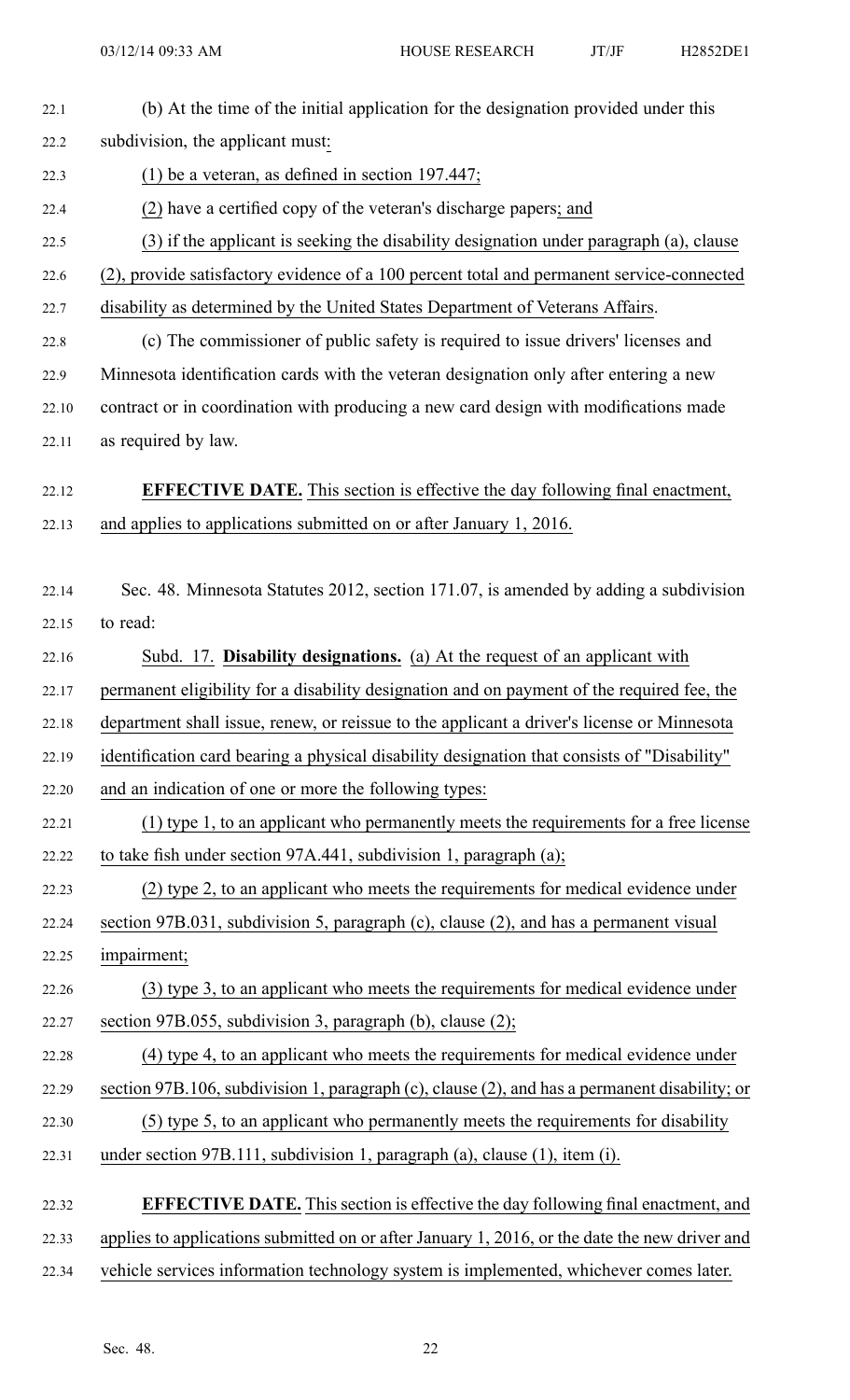| 22.1  | (b) At the time of the initial application for the designation provided under this            |
|-------|-----------------------------------------------------------------------------------------------|
| 22.2  | subdivision, the applicant must:                                                              |
| 22.3  | (1) be a veteran, as defined in section $197.447$ ;                                           |
| 22.4  | (2) have a certified copy of the veteran's discharge papers; and                              |
| 22.5  | (3) if the applicant is seeking the disability designation under paragraph (a), clause        |
| 22.6  | (2), provide satisfactory evidence of a 100 percent total and permanent service-connected     |
| 22.7  | disability as determined by the United States Department of Veterans Affairs.                 |
| 22.8  | (c) The commissioner of public safety is required to issue drivers' licenses and              |
| 22.9  | Minnesota identification cards with the veteran designation only after entering a new         |
| 22.10 | contract or in coordination with producing a new card design with modifications made          |
| 22.11 | as required by law.                                                                           |
|       |                                                                                               |
| 22.12 | <b>EFFECTIVE DATE.</b> This section is effective the day following final enactment,           |
| 22.13 | and applies to applications submitted on or after January 1, 2016.                            |
| 22.14 | Sec. 48. Minnesota Statutes 2012, section 171.07, is amended by adding a subdivision          |
| 22.15 | to read:                                                                                      |
| 22.16 | Subd. 17. Disability designations. (a) At the request of an applicant with                    |
| 22.17 | permanent eligibility for a disability designation and on payment of the required fee, the    |
| 22.18 | department shall issue, renew, or reissue to the applicant a driver's license or Minnesota    |
|       | identification card bearing a physical disability designation that consists of "Disability"   |
| 22.19 |                                                                                               |
| 22.20 | and an indication of one or more the following types:                                         |
| 22.21 | $(1)$ type 1, to an applicant who permanently meets the requirements for a free license       |
| 22.22 | to take fish under section 97A.441, subdivision 1, paragraph (a);                             |
| 22.23 | (2) type 2, to an applicant who meets the requirements for medical evidence under             |
| 22.24 | section 97B.031, subdivision 5, paragraph (c), clause (2), and has a permanent visual         |
| 22.25 | impairment;                                                                                   |
| 22.26 | (3) type 3, to an applicant who meets the requirements for medical evidence under             |
| 22.27 | section 97B.055, subdivision 3, paragraph (b), clause (2);                                    |
| 22.28 | (4) type 4, to an applicant who meets the requirements for medical evidence under             |
| 22.29 | section 97B.106, subdivision 1, paragraph (c), clause (2), and has a permanent disability; or |
| 22.30 | (5) type 5, to an applicant who permanently meets the requirements for disability             |
| 22.31 | under section 97B.111, subdivision 1, paragraph (a), clause (1), item (i).                    |
| 22.32 | <b>EFFECTIVE DATE.</b> This section is effective the day following final enactment, and       |
| 22.33 | applies to applications submitted on or after January 1, 2016, or the date the new driver and |
| 22.34 | vehicle services information technology system is implemented, whichever comes later.         |
|       |                                                                                               |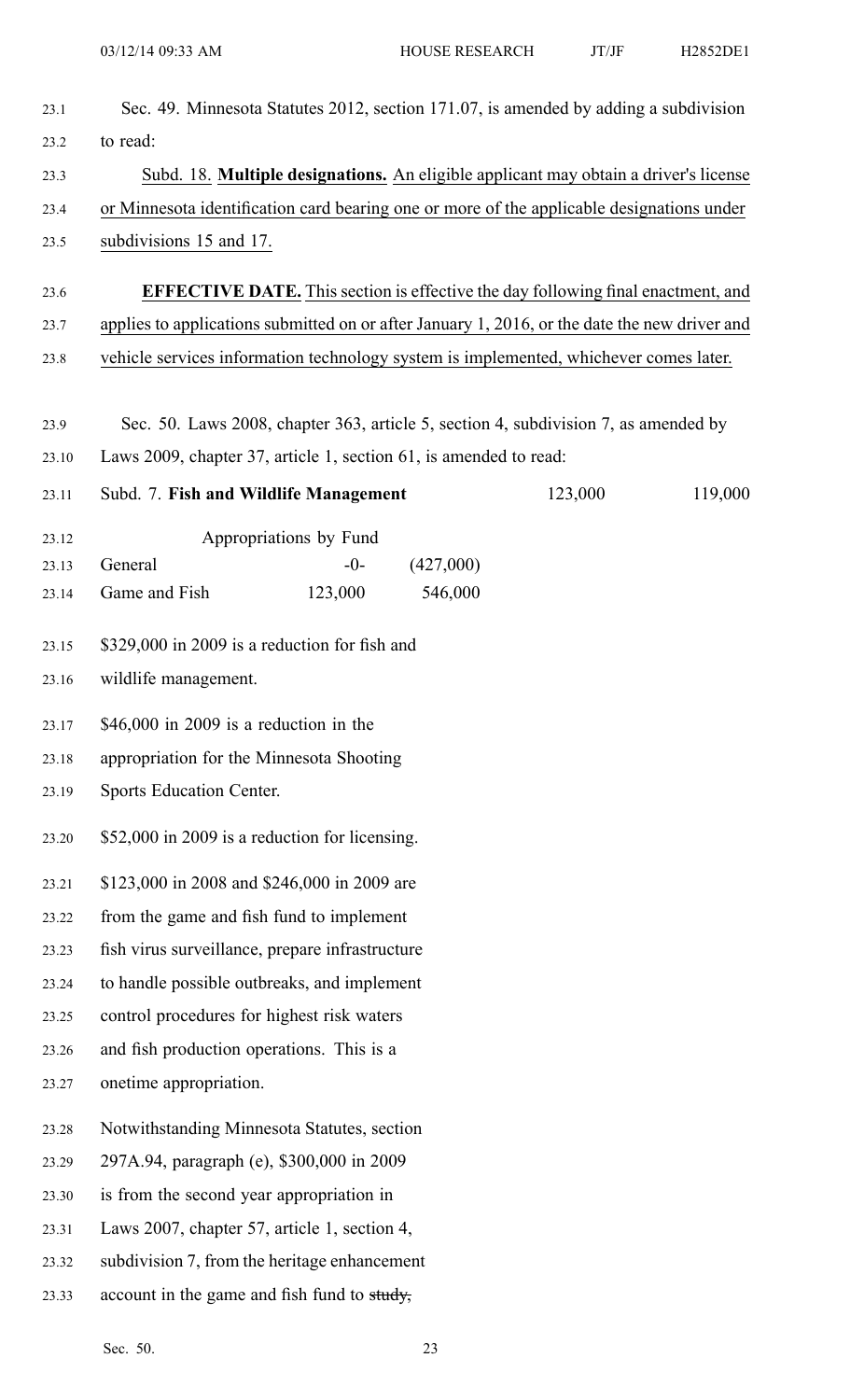| to read:                                  |                                                                                           |                                                                                                                          |                                                                                                                                                                                                                                                                                                                                                                                                                                                                                                                                                                                                                                                                            |                                                                                                                                                                                                                                                                                                                                                                                                                                               |  |
|-------------------------------------------|-------------------------------------------------------------------------------------------|--------------------------------------------------------------------------------------------------------------------------|----------------------------------------------------------------------------------------------------------------------------------------------------------------------------------------------------------------------------------------------------------------------------------------------------------------------------------------------------------------------------------------------------------------------------------------------------------------------------------------------------------------------------------------------------------------------------------------------------------------------------------------------------------------------------|-----------------------------------------------------------------------------------------------------------------------------------------------------------------------------------------------------------------------------------------------------------------------------------------------------------------------------------------------------------------------------------------------------------------------------------------------|--|
|                                           |                                                                                           |                                                                                                                          |                                                                                                                                                                                                                                                                                                                                                                                                                                                                                                                                                                                                                                                                            |                                                                                                                                                                                                                                                                                                                                                                                                                                               |  |
|                                           |                                                                                           | Subd. 18. Multiple designations. An eligible applicant may obtain a driver's license                                     |                                                                                                                                                                                                                                                                                                                                                                                                                                                                                                                                                                                                                                                                            |                                                                                                                                                                                                                                                                                                                                                                                                                                               |  |
|                                           | or Minnesota identification card bearing one or more of the applicable designations under |                                                                                                                          |                                                                                                                                                                                                                                                                                                                                                                                                                                                                                                                                                                                                                                                                            |                                                                                                                                                                                                                                                                                                                                                                                                                                               |  |
|                                           |                                                                                           |                                                                                                                          |                                                                                                                                                                                                                                                                                                                                                                                                                                                                                                                                                                                                                                                                            |                                                                                                                                                                                                                                                                                                                                                                                                                                               |  |
|                                           |                                                                                           |                                                                                                                          |                                                                                                                                                                                                                                                                                                                                                                                                                                                                                                                                                                                                                                                                            |                                                                                                                                                                                                                                                                                                                                                                                                                                               |  |
|                                           |                                                                                           |                                                                                                                          |                                                                                                                                                                                                                                                                                                                                                                                                                                                                                                                                                                                                                                                                            |                                                                                                                                                                                                                                                                                                                                                                                                                                               |  |
|                                           |                                                                                           |                                                                                                                          |                                                                                                                                                                                                                                                                                                                                                                                                                                                                                                                                                                                                                                                                            |                                                                                                                                                                                                                                                                                                                                                                                                                                               |  |
|                                           |                                                                                           |                                                                                                                          |                                                                                                                                                                                                                                                                                                                                                                                                                                                                                                                                                                                                                                                                            |                                                                                                                                                                                                                                                                                                                                                                                                                                               |  |
|                                           |                                                                                           |                                                                                                                          |                                                                                                                                                                                                                                                                                                                                                                                                                                                                                                                                                                                                                                                                            |                                                                                                                                                                                                                                                                                                                                                                                                                                               |  |
|                                           |                                                                                           |                                                                                                                          | 123,000                                                                                                                                                                                                                                                                                                                                                                                                                                                                                                                                                                                                                                                                    | 119,000                                                                                                                                                                                                                                                                                                                                                                                                                                       |  |
|                                           |                                                                                           |                                                                                                                          |                                                                                                                                                                                                                                                                                                                                                                                                                                                                                                                                                                                                                                                                            |                                                                                                                                                                                                                                                                                                                                                                                                                                               |  |
| General                                   | $-0-$                                                                                     | (427,000)                                                                                                                |                                                                                                                                                                                                                                                                                                                                                                                                                                                                                                                                                                                                                                                                            |                                                                                                                                                                                                                                                                                                                                                                                                                                               |  |
| Game and Fish                             | 123,000                                                                                   | 546,000                                                                                                                  |                                                                                                                                                                                                                                                                                                                                                                                                                                                                                                                                                                                                                                                                            |                                                                                                                                                                                                                                                                                                                                                                                                                                               |  |
|                                           |                                                                                           |                                                                                                                          |                                                                                                                                                                                                                                                                                                                                                                                                                                                                                                                                                                                                                                                                            |                                                                                                                                                                                                                                                                                                                                                                                                                                               |  |
| wildlife management.                      |                                                                                           |                                                                                                                          |                                                                                                                                                                                                                                                                                                                                                                                                                                                                                                                                                                                                                                                                            |                                                                                                                                                                                                                                                                                                                                                                                                                                               |  |
|                                           |                                                                                           |                                                                                                                          |                                                                                                                                                                                                                                                                                                                                                                                                                                                                                                                                                                                                                                                                            |                                                                                                                                                                                                                                                                                                                                                                                                                                               |  |
|                                           |                                                                                           |                                                                                                                          |                                                                                                                                                                                                                                                                                                                                                                                                                                                                                                                                                                                                                                                                            |                                                                                                                                                                                                                                                                                                                                                                                                                                               |  |
|                                           |                                                                                           |                                                                                                                          |                                                                                                                                                                                                                                                                                                                                                                                                                                                                                                                                                                                                                                                                            |                                                                                                                                                                                                                                                                                                                                                                                                                                               |  |
|                                           |                                                                                           |                                                                                                                          |                                                                                                                                                                                                                                                                                                                                                                                                                                                                                                                                                                                                                                                                            |                                                                                                                                                                                                                                                                                                                                                                                                                                               |  |
|                                           |                                                                                           |                                                                                                                          |                                                                                                                                                                                                                                                                                                                                                                                                                                                                                                                                                                                                                                                                            |                                                                                                                                                                                                                                                                                                                                                                                                                                               |  |
| from the game and fish fund to implement  |                                                                                           |                                                                                                                          |                                                                                                                                                                                                                                                                                                                                                                                                                                                                                                                                                                                                                                                                            |                                                                                                                                                                                                                                                                                                                                                                                                                                               |  |
|                                           |                                                                                           |                                                                                                                          |                                                                                                                                                                                                                                                                                                                                                                                                                                                                                                                                                                                                                                                                            |                                                                                                                                                                                                                                                                                                                                                                                                                                               |  |
|                                           |                                                                                           |                                                                                                                          |                                                                                                                                                                                                                                                                                                                                                                                                                                                                                                                                                                                                                                                                            |                                                                                                                                                                                                                                                                                                                                                                                                                                               |  |
|                                           |                                                                                           |                                                                                                                          |                                                                                                                                                                                                                                                                                                                                                                                                                                                                                                                                                                                                                                                                            |                                                                                                                                                                                                                                                                                                                                                                                                                                               |  |
|                                           |                                                                                           |                                                                                                                          |                                                                                                                                                                                                                                                                                                                                                                                                                                                                                                                                                                                                                                                                            |                                                                                                                                                                                                                                                                                                                                                                                                                                               |  |
| onetime appropriation.                    |                                                                                           |                                                                                                                          |                                                                                                                                                                                                                                                                                                                                                                                                                                                                                                                                                                                                                                                                            |                                                                                                                                                                                                                                                                                                                                                                                                                                               |  |
|                                           |                                                                                           |                                                                                                                          |                                                                                                                                                                                                                                                                                                                                                                                                                                                                                                                                                                                                                                                                            |                                                                                                                                                                                                                                                                                                                                                                                                                                               |  |
| 297A.94, paragraph (e), \$300,000 in 2009 |                                                                                           |                                                                                                                          |                                                                                                                                                                                                                                                                                                                                                                                                                                                                                                                                                                                                                                                                            |                                                                                                                                                                                                                                                                                                                                                                                                                                               |  |
|                                           |                                                                                           |                                                                                                                          |                                                                                                                                                                                                                                                                                                                                                                                                                                                                                                                                                                                                                                                                            |                                                                                                                                                                                                                                                                                                                                                                                                                                               |  |
|                                           |                                                                                           |                                                                                                                          |                                                                                                                                                                                                                                                                                                                                                                                                                                                                                                                                                                                                                                                                            |                                                                                                                                                                                                                                                                                                                                                                                                                                               |  |
|                                           |                                                                                           |                                                                                                                          |                                                                                                                                                                                                                                                                                                                                                                                                                                                                                                                                                                                                                                                                            |                                                                                                                                                                                                                                                                                                                                                                                                                                               |  |
|                                           |                                                                                           |                                                                                                                          |                                                                                                                                                                                                                                                                                                                                                                                                                                                                                                                                                                                                                                                                            |                                                                                                                                                                                                                                                                                                                                                                                                                                               |  |
|                                           |                                                                                           | subdivisions 15 and 17.<br>Appropriations by Fund<br>$$46,000$ in 2009 is a reduction in the<br>Sports Education Center. | Subd. 7. Fish and Wildlife Management<br>\$329,000 in 2009 is a reduction for fish and<br>appropriation for the Minnesota Shooting<br>\$52,000 in 2009 is a reduction for licensing.<br>\$123,000 in 2008 and \$246,000 in 2009 are<br>fish virus surveillance, prepare infrastructure<br>to handle possible outbreaks, and implement<br>control procedures for highest risk waters<br>and fish production operations. This is a<br>Notwithstanding Minnesota Statutes, section<br>is from the second year appropriation in<br>Laws 2007, chapter 57, article 1, section 4,<br>subdivision 7, from the heritage enhancement<br>account in the game and fish fund to study, | <b>EFFECTIVE DATE.</b> This section is effective the day following final enactment, and<br>applies to applications submitted on or after January 1, 2016, or the date the new driver and<br>vehicle services information technology system is implemented, whichever comes later.<br>Sec. 50. Laws 2008, chapter 363, article 5, section 4, subdivision 7, as amended by<br>Laws 2009, chapter 37, article 1, section 61, is amended to read: |  |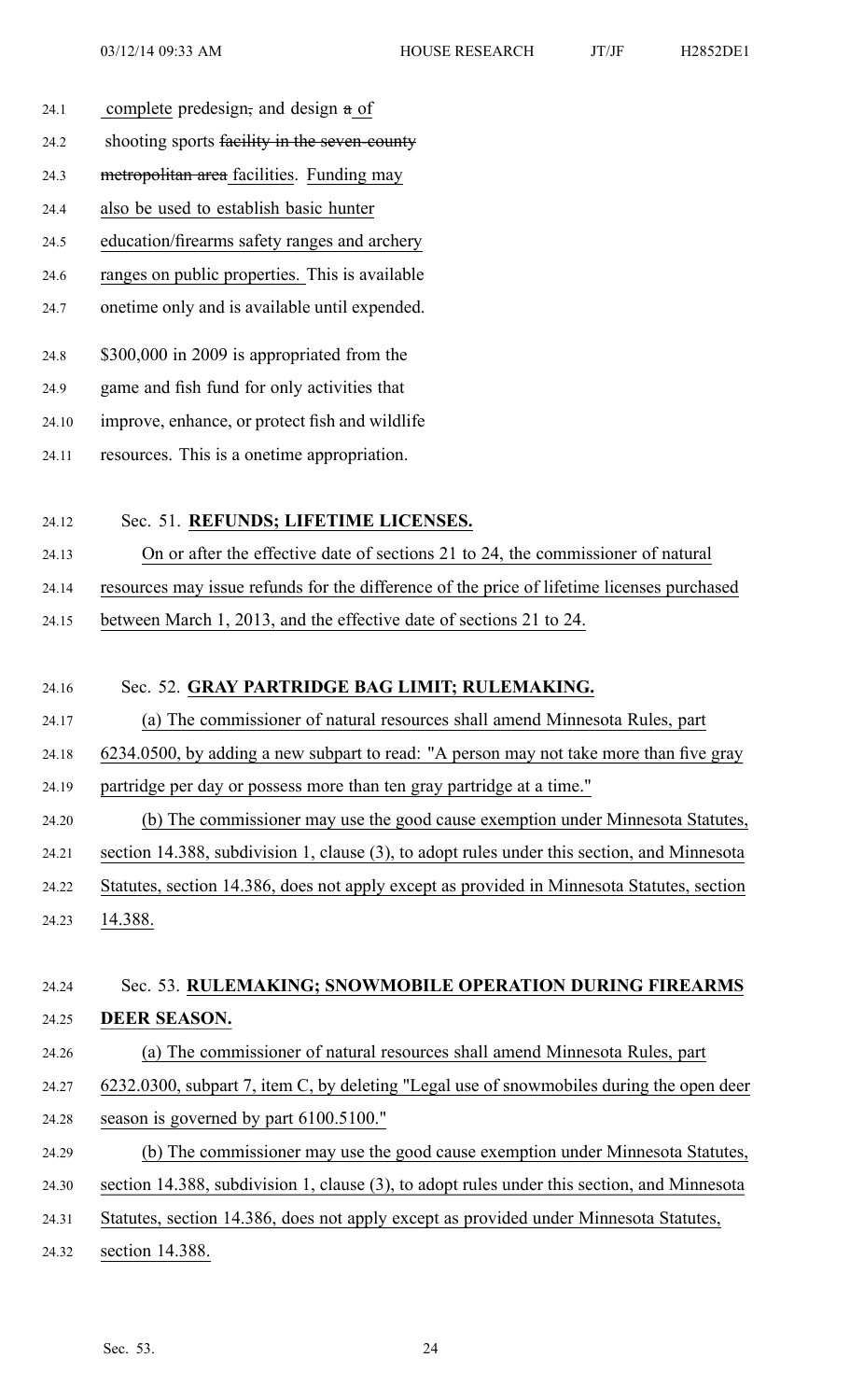- 24.1 complete predesign, and design a of
- 24.2 shooting sports facility in the seven-county
- 24.3 metropolitan area facilities. Funding may
- 24.4 also be used to establish basic hunter
- 24.5 education/firearms safety ranges and archery
- 24.6 ranges on public properties. This is available
- 24.7 onetime only and is available until expended.
- 24.8 \$300,000 in 2009 is appropriated from the
- 24.9 game and fish fund for only activities that
- 24.10 improve, enhance, or protect fish and wildlife
- 24.11 resources. This is <sup>a</sup> onetime appropriation.

## 24.12 Sec. 51. **REFUNDS; LIFETIME LICENSES.**

- 24.13 On or after the effective date of sections 21 to 24, the commissioner of natural
- 24.14 resources may issue refunds for the difference of the price of lifetime licenses purchased
- 24.15 between March 1, 2013, and the effective date of sections 21 to 24.

#### 24.16 Sec. 52. **GRAY PARTRIDGE BAG LIMIT; RULEMAKING.**

- 24.17 (a) The commissioner of natural resources shall amend Minnesota Rules, par<sup>t</sup>
- 24.18 6234.0500, by adding <sup>a</sup> new subpart to read: "A person may not take more than five gray
- 24.19 partridge per day or possess more than ten gray partridge at <sup>a</sup> time."
- 24.20 (b) The commissioner may use the good cause exemption under Minnesota Statutes,
- 24.21 section 14.388, subdivision 1, clause (3), to adopt rules under this section, and Minnesota
- 24.22 Statutes, section 14.386, does not apply excep<sup>t</sup> as provided in Minnesota Statutes, section
- 24.23 14.388.

## 24.24 Sec. 53. **RULEMAKING; SNOWMOBILE OPERATION DURING FIREARMS**

- 24.25 **DEER SEASON.**
- 24.26 (a) The commissioner of natural resources shall amend Minnesota Rules, par<sup>t</sup>
- 24.27 6232.0300, subpart 7, item C, by deleting "Legal use of snowmobiles during the open deer
- 24.28 season is governed by par<sup>t</sup> 6100.5100."
- 24.29 (b) The commissioner may use the good cause exemption under Minnesota Statutes,
- 24.30 section 14.388, subdivision 1, clause (3), to adopt rules under this section, and Minnesota
- 24.31 Statutes, section 14.386, does not apply excep<sup>t</sup> as provided under Minnesota Statutes,
- 24.32 section 14.388.